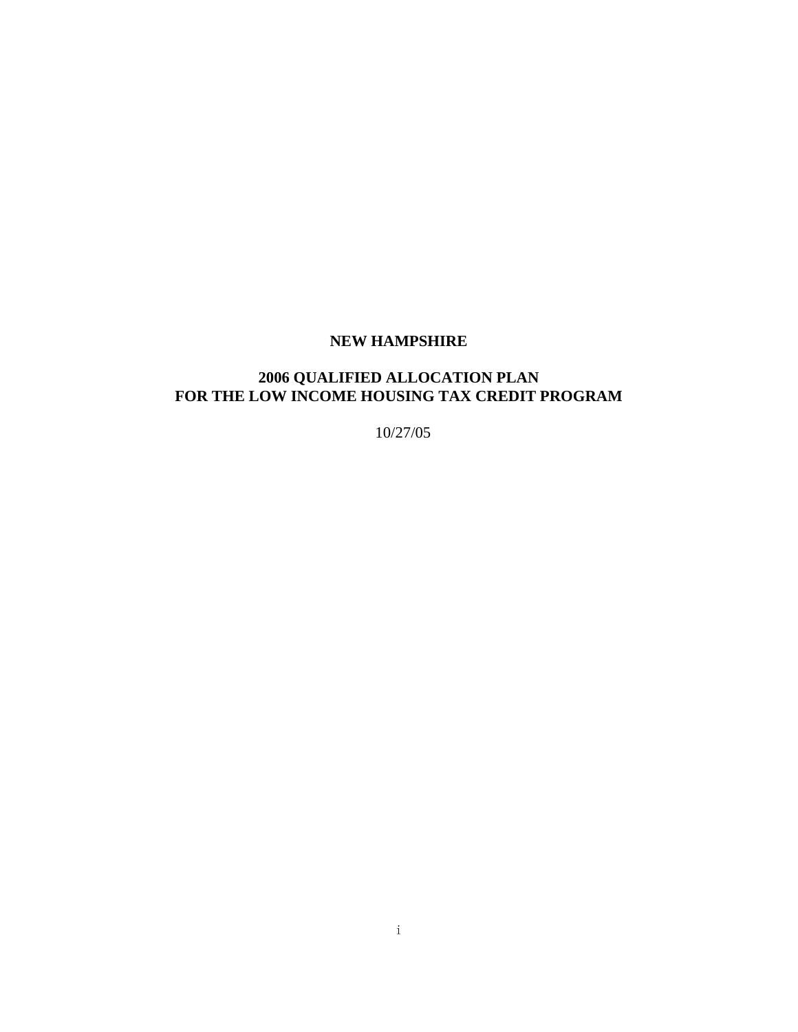#### **NEW HAMPSHIRE**

#### **2006 QUALIFIED ALLOCATION PLAN FOR THE LOW INCOME HOUSING TAX CREDIT PROGRAM**

10/27/05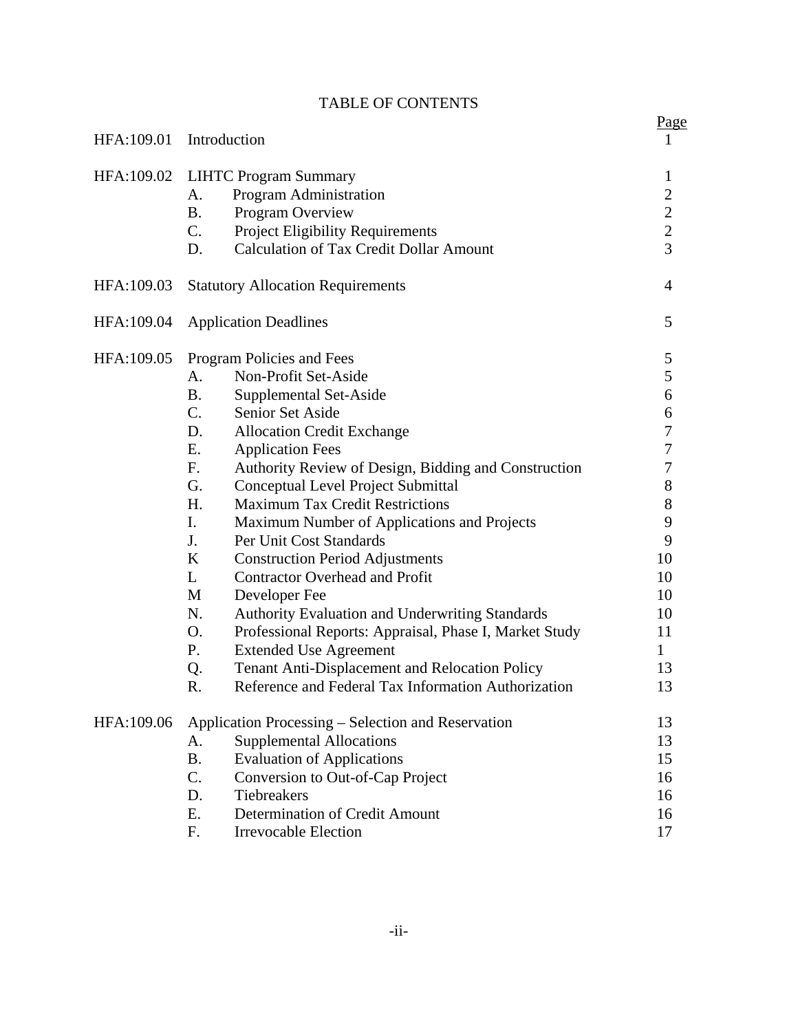|            |                                                              | Page             |
|------------|--------------------------------------------------------------|------------------|
| HFA:109.01 | Introduction                                                 | 1                |
| HFA:109.02 | <b>LIHTC Program Summary</b>                                 | $\mathbf{1}$     |
|            | Program Administration<br>A.                                 | $\overline{c}$   |
|            | Program Overview<br><b>B.</b>                                |                  |
|            | C.<br><b>Project Eligibility Requirements</b>                | $\frac{2}{2}$    |
|            | <b>Calculation of Tax Credit Dollar Amount</b><br>D.         | $\overline{3}$   |
| HFA:109.03 | <b>Statutory Allocation Requirements</b>                     | $\overline{4}$   |
| HFA:109.04 | <b>Application Deadlines</b>                                 | 5                |
| HFA:109.05 | Program Policies and Fees                                    | 5                |
|            | Non-Profit Set-Aside<br>A.                                   | 5                |
|            | <b>B.</b><br>Supplemental Set-Aside                          | 6                |
|            | $C_{\cdot}$<br>Senior Set Aside                              | 6                |
|            | D.<br><b>Allocation Credit Exchange</b>                      | $\tau$           |
|            | Ε.<br><b>Application Fees</b>                                | $\boldsymbol{7}$ |
|            | Authority Review of Design, Bidding and Construction<br>F.   | 7                |
|            | G.<br>Conceptual Level Project Submittal                     | $8\,$            |
|            | H.<br><b>Maximum Tax Credit Restrictions</b>                 | $\,8\,$          |
|            | I.<br>Maximum Number of Applications and Projects            | 9                |
|            | J.<br>Per Unit Cost Standards                                | 9                |
|            | K<br><b>Construction Period Adjustments</b>                  | 10               |
|            | <b>Contractor Overhead and Profit</b><br>L                   | 10               |
|            | Developer Fee<br>M                                           | 10               |
|            | N.<br>Authority Evaluation and Underwriting Standards        | 10               |
|            | O.<br>Professional Reports: Appraisal, Phase I, Market Study | 11               |
|            | P.<br><b>Extended Use Agreement</b>                          | $\mathbf{1}$     |
|            | Tenant Anti-Displacement and Relocation Policy<br>Q.         | 13               |
|            | Reference and Federal Tax Information Authorization<br>R.    | 13               |
| HFA:109.06 | Application Processing – Selection and Reservation           |                  |
|            | <b>Supplemental Allocations</b><br>A.                        | 13               |
|            | <b>Evaluation of Applications</b><br><b>B.</b>               | 15               |
|            | C.<br>Conversion to Out-of-Cap Project                       | 16               |
|            | Tiebreakers<br>D.                                            | 16               |
|            | Determination of Credit Amount<br>Ε.                         | 16               |
|            | <b>Irrevocable Election</b><br>F.                            | 17               |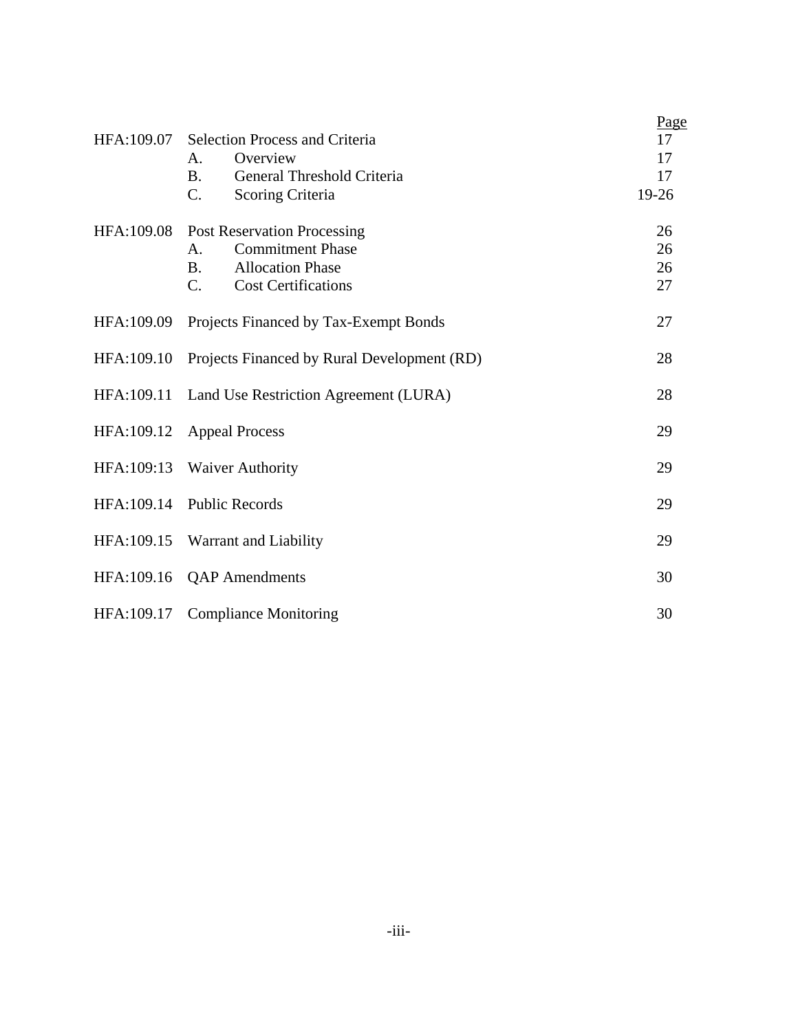| HFA:109.07 | <b>Selection Process and Criteria</b><br>Overview<br>A.<br>General Threshold Criteria<br><b>B.</b>                                                                        | Page<br>17<br>17<br>17        |
|------------|---------------------------------------------------------------------------------------------------------------------------------------------------------------------------|-------------------------------|
| HFA:109.08 | C.<br>Scoring Criteria<br><b>Post Reservation Processing</b><br><b>Commitment Phase</b><br>A.<br><b>Allocation Phase</b><br><b>B.</b><br>C.<br><b>Cost Certifications</b> | 19-26<br>26<br>26<br>26<br>27 |
| HFA:109.09 | Projects Financed by Tax-Exempt Bonds                                                                                                                                     | 27                            |
| HFA:109.10 | Projects Financed by Rural Development (RD)                                                                                                                               | 28                            |
| HFA:109.11 | Land Use Restriction Agreement (LURA)                                                                                                                                     | 28                            |
| HFA:109.12 | <b>Appeal Process</b>                                                                                                                                                     | 29                            |
| HFA:109:13 | <b>Waiver Authority</b>                                                                                                                                                   | 29                            |
| HFA:109.14 | <b>Public Records</b>                                                                                                                                                     | 29                            |
| HFA:109.15 | Warrant and Liability                                                                                                                                                     | 29                            |
| HFA:109.16 | <b>QAP</b> Amendments                                                                                                                                                     | 30                            |
| HFA:109.17 | <b>Compliance Monitoring</b>                                                                                                                                              | 30                            |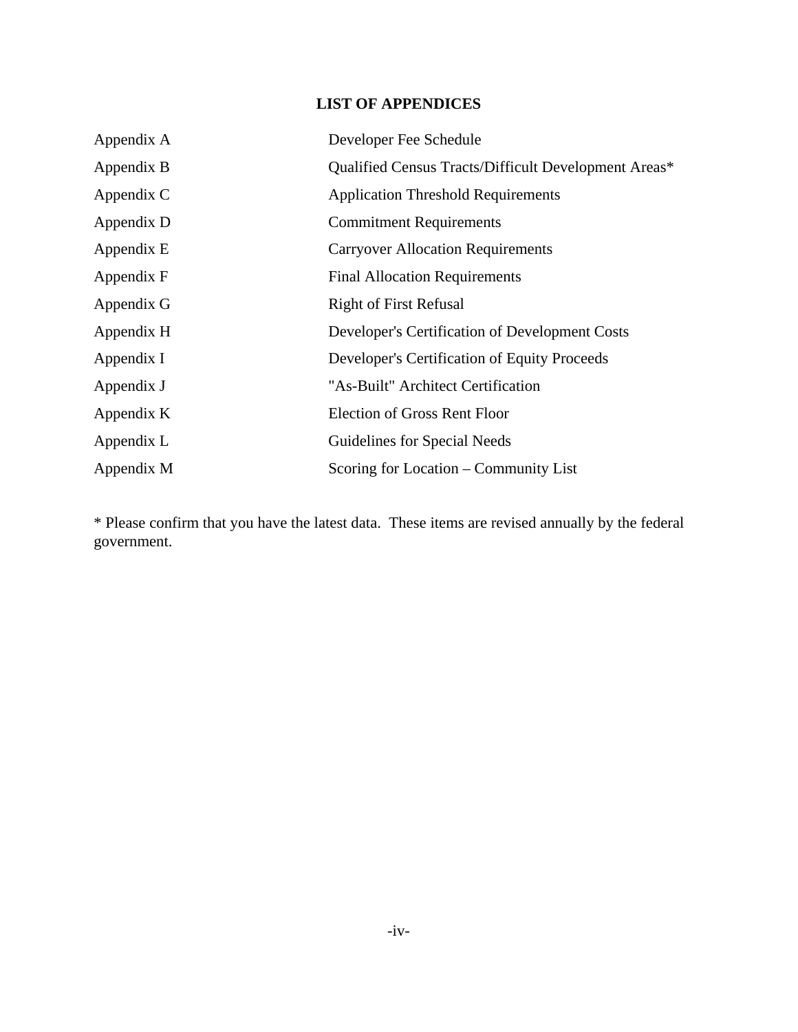# **LIST OF APPENDICES**

| Appendix A | Developer Fee Schedule                               |
|------------|------------------------------------------------------|
| Appendix B | Qualified Census Tracts/Difficult Development Areas* |
| Appendix C | <b>Application Threshold Requirements</b>            |
| Appendix D | <b>Commitment Requirements</b>                       |
| Appendix E | <b>Carryover Allocation Requirements</b>             |
| Appendix F | <b>Final Allocation Requirements</b>                 |
| Appendix G | <b>Right of First Refusal</b>                        |
| Appendix H | Developer's Certification of Development Costs       |
| Appendix I | Developer's Certification of Equity Proceeds         |
| Appendix J | "As-Built" Architect Certification                   |
| Appendix K | <b>Election of Gross Rent Floor</b>                  |
| Appendix L | Guidelines for Special Needs                         |
| Appendix M | Scoring for Location – Community List                |

\* Please confirm that you have the latest data. These items are revised annually by the federal government.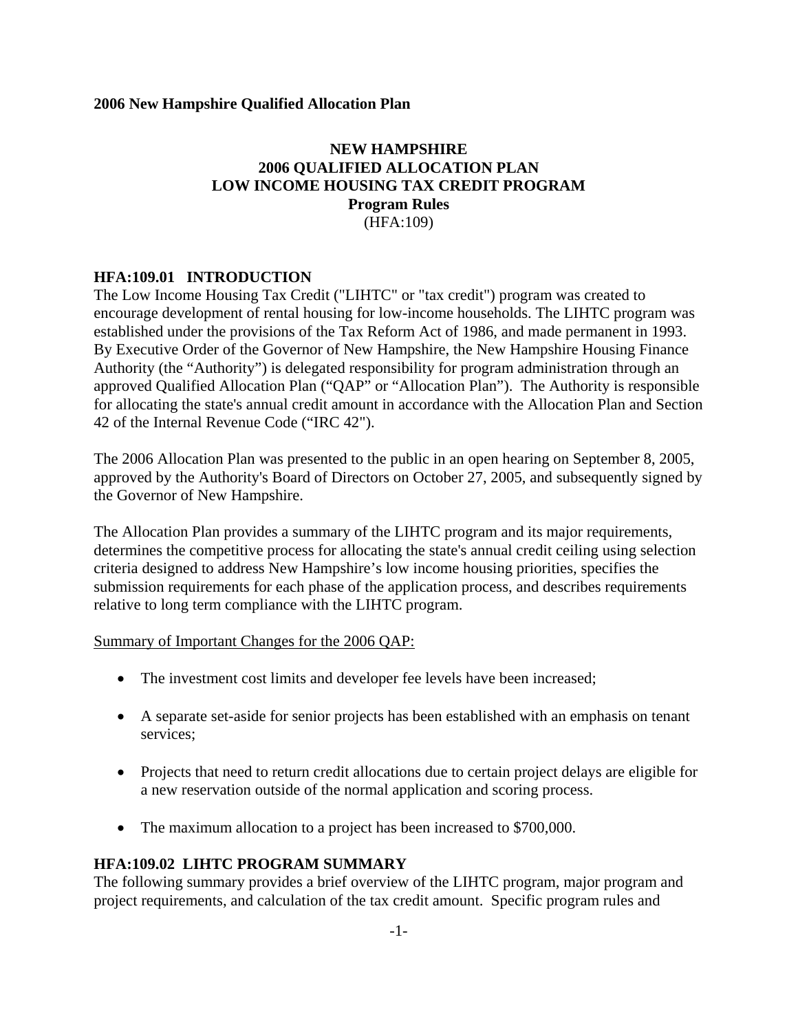# **NEW HAMPSHIRE 2006 QUALIFIED ALLOCATION PLAN LOW INCOME HOUSING TAX CREDIT PROGRAM Program Rules** (HFA:109)

#### **HFA:109.01 INTRODUCTION**

The Low Income Housing Tax Credit ("LIHTC" or "tax credit") program was created to encourage development of rental housing for low-income households. The LIHTC program was established under the provisions of the Tax Reform Act of 1986, and made permanent in 1993. By Executive Order of the Governor of New Hampshire, the New Hampshire Housing Finance Authority (the "Authority") is delegated responsibility for program administration through an approved Qualified Allocation Plan ("QAP" or "Allocation Plan"). The Authority is responsible for allocating the state's annual credit amount in accordance with the Allocation Plan and Section 42 of the Internal Revenue Code ("IRC 42").

The 2006 Allocation Plan was presented to the public in an open hearing on September 8, 2005, approved by the Authority's Board of Directors on October 27, 2005, and subsequently signed by the Governor of New Hampshire.

The Allocation Plan provides a summary of the LIHTC program and its major requirements, determines the competitive process for allocating the state's annual credit ceiling using selection criteria designed to address New Hampshire's low income housing priorities, specifies the submission requirements for each phase of the application process, and describes requirements relative to long term compliance with the LIHTC program.

#### Summary of Important Changes for the 2006 QAP:

- The investment cost limits and developer fee levels have been increased;
- A separate set-aside for senior projects has been established with an emphasis on tenant services;
- Projects that need to return credit allocations due to certain project delays are eligible for a new reservation outside of the normal application and scoring process.
- The maximum allocation to a project has been increased to \$700,000.

#### **HFA:109.02 LIHTC PROGRAM SUMMARY**

The following summary provides a brief overview of the LIHTC program, major program and project requirements, and calculation of the tax credit amount. Specific program rules and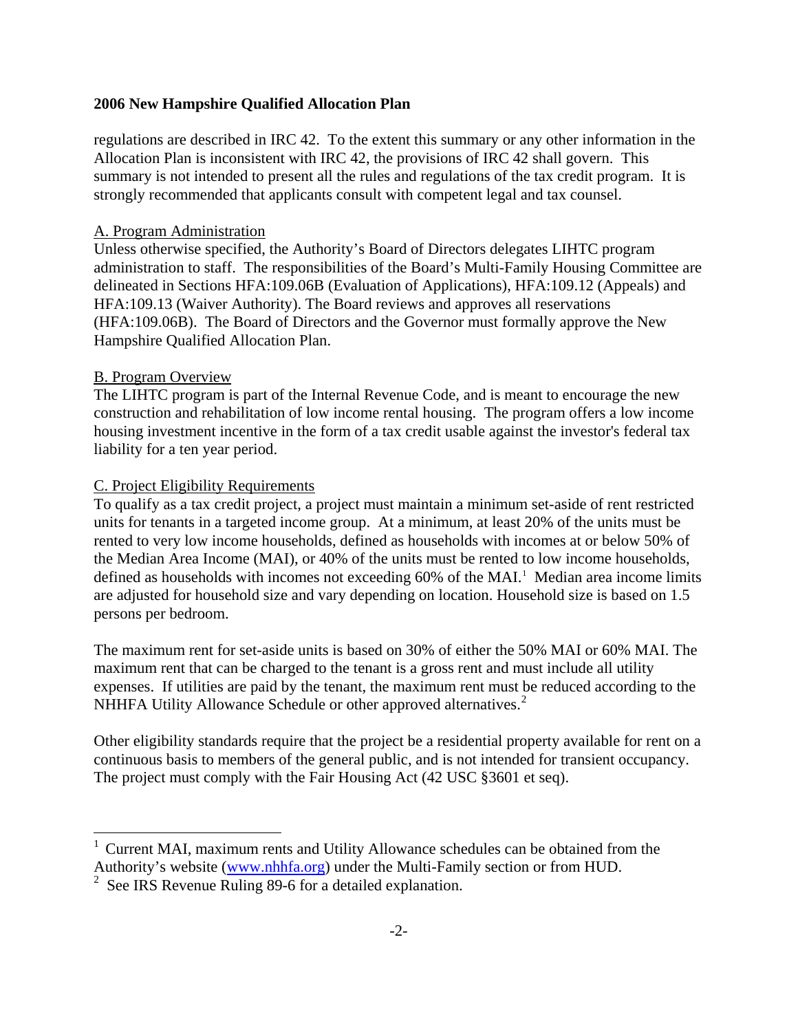regulations are described in IRC 42. To the extent this summary or any other information in the Allocation Plan is inconsistent with IRC 42, the provisions of IRC 42 shall govern. This summary is not intended to present all the rules and regulations of the tax credit program. It is strongly recommended that applicants consult with competent legal and tax counsel.

#### A. Program Administration

Unless otherwise specified, the Authority's Board of Directors delegates LIHTC program administration to staff. The responsibilities of the Board's Multi-Family Housing Committee are delineated in Sections HFA:109.06B (Evaluation of Applications), HFA:109.12 (Appeals) and HFA:109.13 (Waiver Authority). The Board reviews and approves all reservations (HFA:109.06B). The Board of Directors and the Governor must formally approve the New Hampshire Qualified Allocation Plan.

#### B. Program Overview

i.

The LIHTC program is part of the Internal Revenue Code, and is meant to encourage the new construction and rehabilitation of low income rental housing. The program offers a low income housing investment incentive in the form of a tax credit usable against the investor's federal tax liability for a ten year period.

#### C. Project Eligibility Requirements

To qualify as a tax credit project, a project must maintain a minimum set-aside of rent restricted units for tenants in a targeted income group. At a minimum, at least 20% of the units must be rented to very low income households, defined as households with incomes at or below 50% of the Median Area Income (MAI), or 40% of the units must be rented to low income households, defined as households with incomes not exceeding 60% of the MAI.<sup>[1](#page-5-0)</sup> Median area income limits are adjusted for household size and vary depending on location. Household size is based on 1.5 persons per bedroom.

The maximum rent for set-aside units is based on 30% of either the 50% MAI or 60% MAI. The maximum rent that can be charged to the tenant is a gross rent and must include all utility expenses. If utilities are paid by the tenant, the maximum rent must be reduced according to the NHHFA Utility Allowance Schedule or other approved alternatives.<sup>[2](#page-5-1)</sup>

Other eligibility standards require that the project be a residential property available for rent on a continuous basis to members of the general public, and is not intended for transient occupancy. The project must comply with the Fair Housing Act (42 USC §3601 et seq).

<span id="page-5-0"></span><sup>&</sup>lt;sup>1</sup> Current MAI, maximum rents and Utility Allowance schedules can be obtained from the Authority's website [\(www.nhhfa.org](http://www.nhhfa.org/)) under the Multi-Family section or from HUD.

<span id="page-5-1"></span><sup>&</sup>lt;sup>2</sup> See IRS Revenue Ruling 89-6 for a detailed explanation.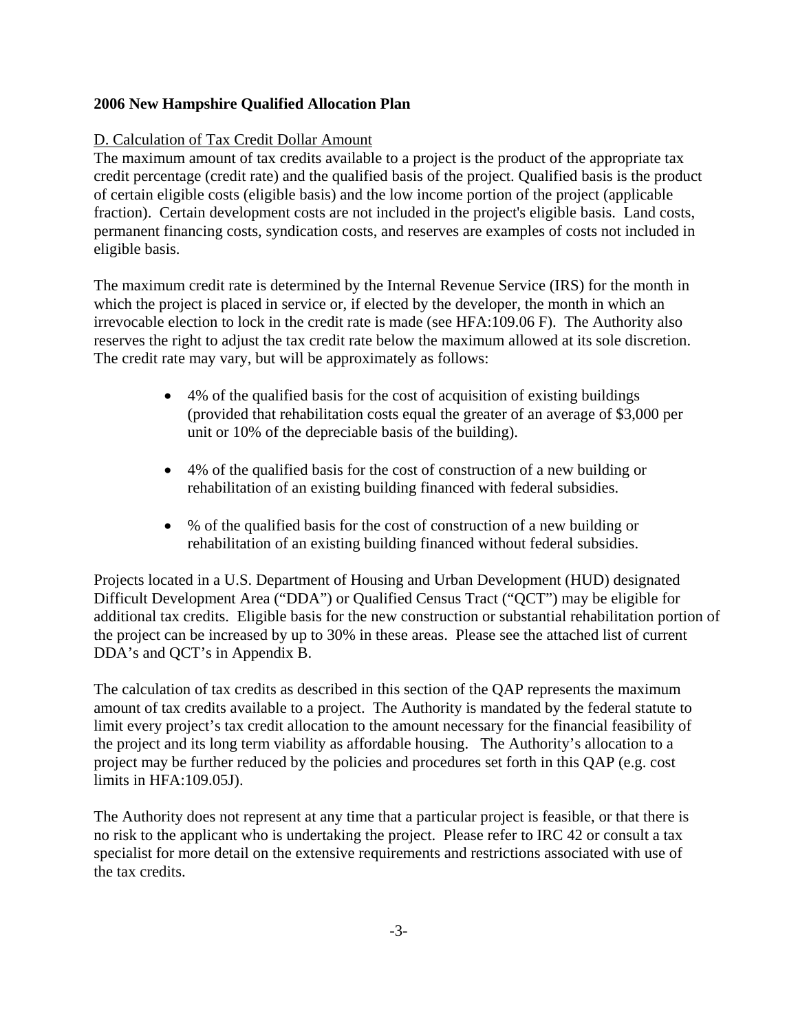### D. Calculation of Tax Credit Dollar Amount

The maximum amount of tax credits available to a project is the product of the appropriate tax credit percentage (credit rate) and the qualified basis of the project. Qualified basis is the product of certain eligible costs (eligible basis) and the low income portion of the project (applicable fraction). Certain development costs are not included in the project's eligible basis. Land costs, permanent financing costs, syndication costs, and reserves are examples of costs not included in eligible basis.

The maximum credit rate is determined by the Internal Revenue Service (IRS) for the month in which the project is placed in service or, if elected by the developer, the month in which an irrevocable election to lock in the credit rate is made (see HFA:109.06 F). The Authority also reserves the right to adjust the tax credit rate below the maximum allowed at its sole discretion. The credit rate may vary, but will be approximately as follows:

- 4% of the qualified basis for the cost of acquisition of existing buildings (provided that rehabilitation costs equal the greater of an average of \$3,000 per unit or 10% of the depreciable basis of the building).
- 4% of the qualified basis for the cost of construction of a new building or rehabilitation of an existing building financed with federal subsidies.
- % of the qualified basis for the cost of construction of a new building or rehabilitation of an existing building financed without federal subsidies.

Projects located in a U.S. Department of Housing and Urban Development (HUD) designated Difficult Development Area ("DDA") or Qualified Census Tract ("QCT") may be eligible for additional tax credits. Eligible basis for the new construction or substantial rehabilitation portion of the project can be increased by up to 30% in these areas. Please see the attached list of current DDA's and QCT's in Appendix B.

The calculation of tax credits as described in this section of the QAP represents the maximum amount of tax credits available to a project. The Authority is mandated by the federal statute to limit every project's tax credit allocation to the amount necessary for the financial feasibility of the project and its long term viability as affordable housing. The Authority's allocation to a project may be further reduced by the policies and procedures set forth in this QAP (e.g. cost limits in HFA:109.05J).

The Authority does not represent at any time that a particular project is feasible, or that there is no risk to the applicant who is undertaking the project. Please refer to IRC 42 or consult a tax specialist for more detail on the extensive requirements and restrictions associated with use of the tax credits.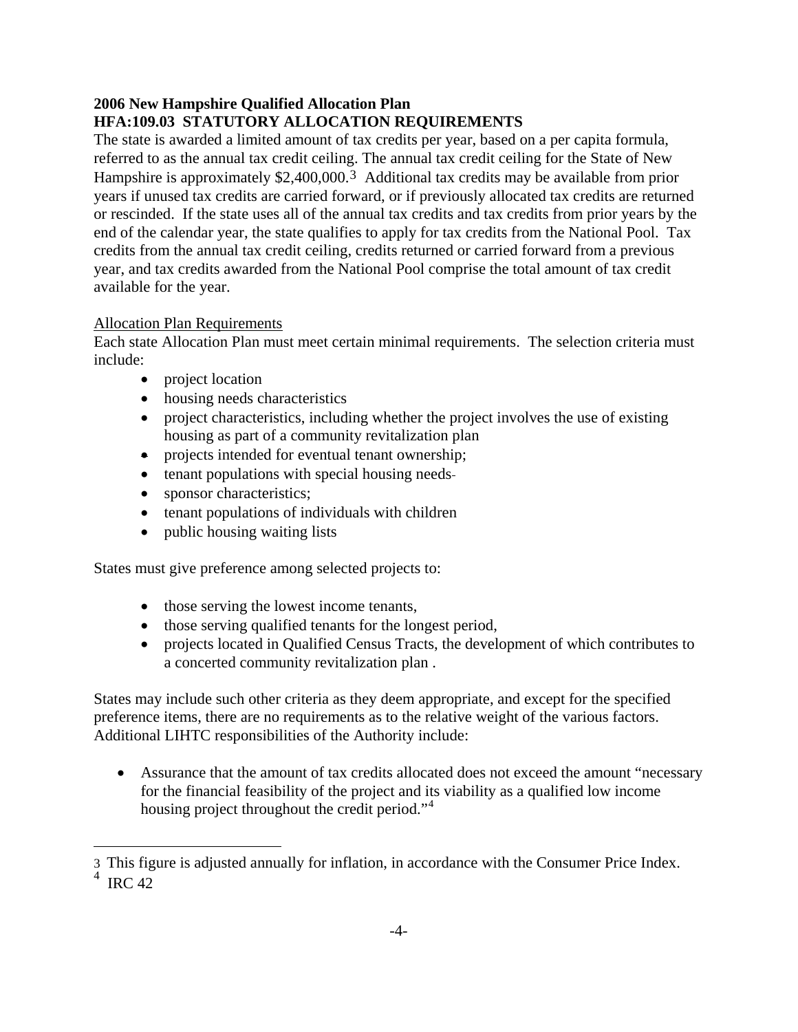# **2006 New Hampshire Qualified Allocation Plan HFA:109.03 STATUTORY ALLOCATION REQUIREMENTS**

The state is awarded a limited amount of tax credits per year, based on a per capita formula, referred to as the annual tax credit ceiling. The annual tax credit ceiling for the State of New Hampshire is approximately \$2,400,000[.3](#page-7-0) Additional tax credits may be available from prior years if unused tax credits are carried forward, or if previously allocated tax credits are returned or rescinded. If the state uses all of the annual tax credits and tax credits from prior years by the end of the calendar year, the state qualifies to apply for tax credits from the National Pool. Tax credits from the annual tax credit ceiling, credits returned or carried forward from a previous year, and tax credits awarded from the National Pool comprise the total amount of tax credit available for the year.

# Allocation Plan Requirements

i.

Each state Allocation Plan must meet certain minimal requirements. The selection criteria must include:

- project location
- housing needs characteristics
- project characteristics, including whether the project involves the use of existing housing as part of a community revitalization plan
- projects intended for eventual tenant ownership;
- tenant populations with special housing needs-
- sponsor characteristics;
- tenant populations of individuals with children
- public housing waiting lists

States must give preference among selected projects to:

- those serving the lowest income tenants,
- those serving qualified tenants for the longest period,
- projects located in Qualified Census Tracts, the development of which contributes to a concerted community revitalization plan .

States may include such other criteria as they deem appropriate, and except for the specified preference items, there are no requirements as to the relative weight of the various factors. Additional LIHTC responsibilities of the Authority include:

• Assurance that the amount of tax credits allocated does not exceed the amount "necessary for the financial feasibility of the project and its viability as a qualified low income housing project throughout the credit period."<sup>[4](#page-7-1)</sup>

<span id="page-7-1"></span><span id="page-7-0"></span><sup>3</sup> This figure is adjusted annually for inflation, in accordance with the Consumer Price Index.  $4 \text{ IRC } 42$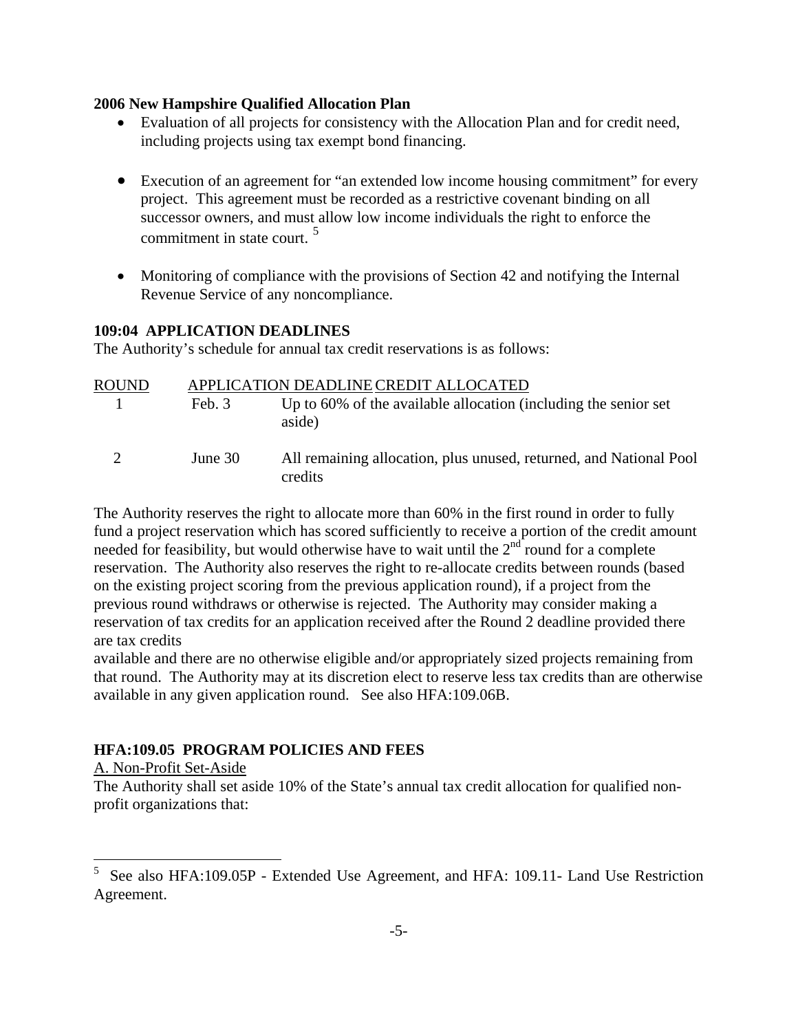- Evaluation of all projects for consistency with the Allocation Plan and for credit need, including projects using tax exempt bond financing.
- Execution of an agreement for "an extended low income housing commitment" for every project. This agreement must be recorded as a restrictive covenant binding on all successor owners, and must allow low income individuals the right to enforce the commitment in state court. [5](#page-8-0)
- Monitoring of compliance with the provisions of Section 42 and notifying the Internal Revenue Service of any noncompliance.

#### **109:04 APPLICATION DEADLINES**

The Authority's schedule for annual tax credit reservations is as follows:

| <b>ROUND</b> |         | APPLICATION DEADLINE CREDIT ALLOCATED                                         |  |  |
|--------------|---------|-------------------------------------------------------------------------------|--|--|
|              | Feb. 3  | Up to 60% of the available allocation (including the senior set<br>aside)     |  |  |
|              | June 30 | All remaining allocation, plus unused, returned, and National Pool<br>credits |  |  |

The Authority reserves the right to allocate more than 60% in the first round in order to fully fund a project reservation which has scored sufficiently to receive a portion of the credit amount needed for feasibility, but would otherwise have to wait until the  $2<sup>nd</sup>$  round for a complete reservation. The Authority also reserves the right to re-allocate credits between rounds (based on the existing project scoring from the previous application round), if a project from the previous round withdraws or otherwise is rejected. The Authority may consider making a reservation of tax credits for an application received after the Round 2 deadline provided there are tax credits

available and there are no otherwise eligible and/or appropriately sized projects remaining from that round. The Authority may at its discretion elect to reserve less tax credits than are otherwise available in any given application round. See also HFA:109.06B.

# **HFA:109.05 PROGRAM POLICIES AND FEES**

A. Non-Profit Set-Aside

L,

The Authority shall set aside 10% of the State's annual tax credit allocation for qualified nonprofit organizations that:

<span id="page-8-0"></span><sup>5</sup> See also HFA:109.05P - Extended Use Agreement, and HFA: 109.11- Land Use Restriction Agreement.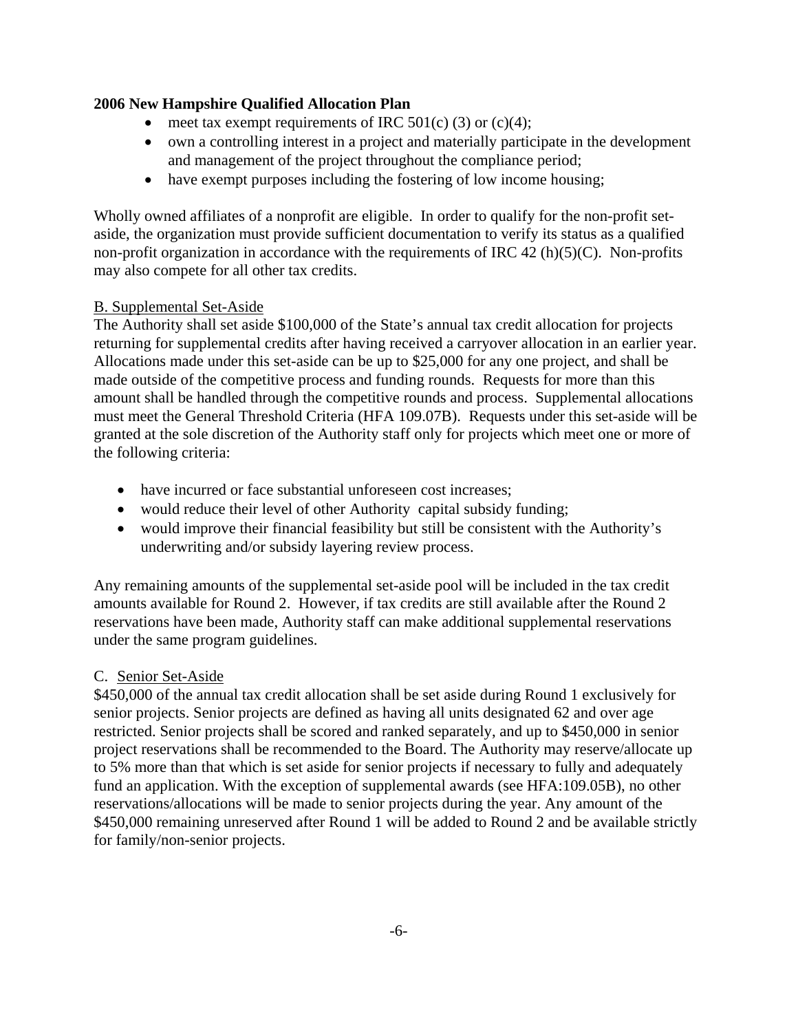- meet tax exempt requirements of IRC  $501(c)$  (3) or (c)(4);
- own a controlling interest in a project and materially participate in the development and management of the project throughout the compliance period;
- have exempt purposes including the fostering of low income housing;

Wholly owned affiliates of a nonprofit are eligible. In order to qualify for the non-profit setaside, the organization must provide sufficient documentation to verify its status as a qualified non-profit organization in accordance with the requirements of IRC 42  $(h)(5)(C)$ . Non-profits may also compete for all other tax credits.

### B. Supplemental Set-Aside

The Authority shall set aside \$100,000 of the State's annual tax credit allocation for projects returning for supplemental credits after having received a carryover allocation in an earlier year. Allocations made under this set-aside can be up to \$25,000 for any one project, and shall be made outside of the competitive process and funding rounds. Requests for more than this amount shall be handled through the competitive rounds and process. Supplemental allocations must meet the General Threshold Criteria (HFA 109.07B). Requests under this set-aside will be granted at the sole discretion of the Authority staff only for projects which meet one or more of the following criteria:

- have incurred or face substantial unforeseen cost increases;
- would reduce their level of other Authority capital subsidy funding;
- would improve their financial feasibility but still be consistent with the Authority's underwriting and/or subsidy layering review process.

Any remaining amounts of the supplemental set-aside pool will be included in the tax credit amounts available for Round 2. However, if tax credits are still available after the Round 2 reservations have been made, Authority staff can make additional supplemental reservations under the same program guidelines.

# C. Senior Set-Aside

\$450,000 of the annual tax credit allocation shall be set aside during Round 1 exclusively for senior projects. Senior projects are defined as having all units designated 62 and over age restricted. Senior projects shall be scored and ranked separately, and up to \$450,000 in senior project reservations shall be recommended to the Board. The Authority may reserve/allocate up to 5% more than that which is set aside for senior projects if necessary to fully and adequately fund an application. With the exception of supplemental awards (see HFA:109.05B), no other reservations/allocations will be made to senior projects during the year. Any amount of the \$450,000 remaining unreserved after Round 1 will be added to Round 2 and be available strictly for family/non-senior projects.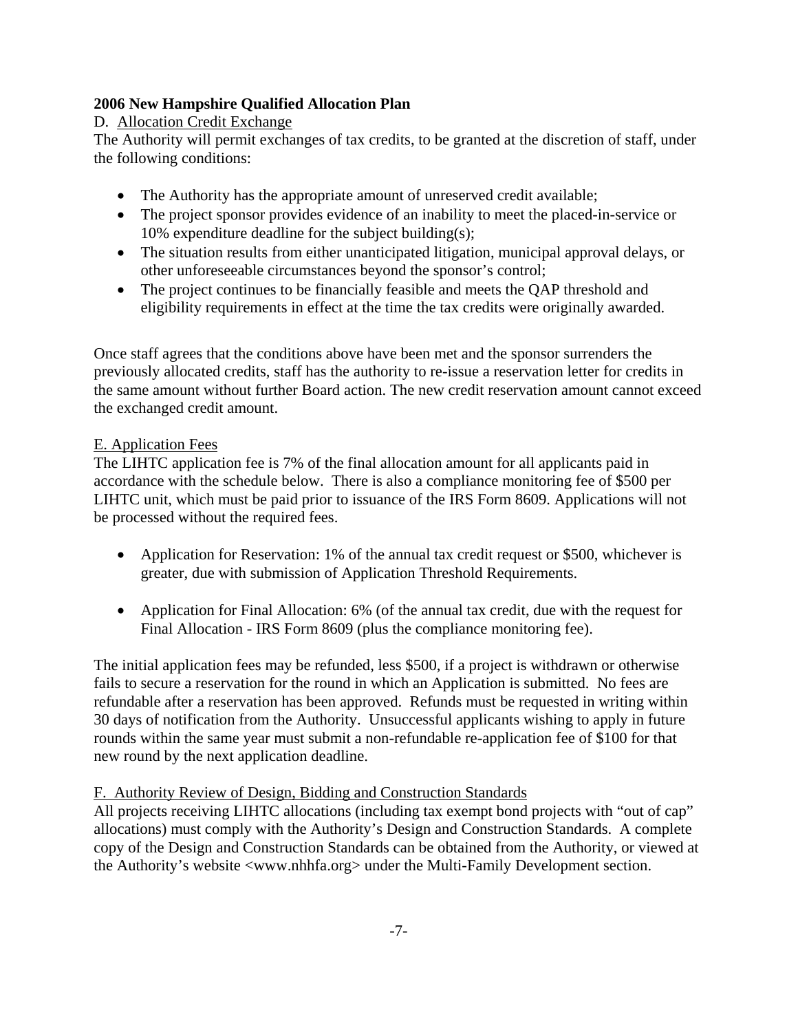# D. Allocation Credit Exchange

The Authority will permit exchanges of tax credits, to be granted at the discretion of staff, under the following conditions:

- The Authority has the appropriate amount of unreserved credit available;
- The project sponsor provides evidence of an inability to meet the placed-in-service or 10% expenditure deadline for the subject building(s);
- The situation results from either unanticipated litigation, municipal approval delays, or other unforeseeable circumstances beyond the sponsor's control;
- The project continues to be financially feasible and meets the QAP threshold and eligibility requirements in effect at the time the tax credits were originally awarded.

Once staff agrees that the conditions above have been met and the sponsor surrenders the previously allocated credits, staff has the authority to re-issue a reservation letter for credits in the same amount without further Board action. The new credit reservation amount cannot exceed the exchanged credit amount.

# E. Application Fees

The LIHTC application fee is 7% of the final allocation amount for all applicants paid in accordance with the schedule below. There is also a compliance monitoring fee of \$500 per LIHTC unit, which must be paid prior to issuance of the IRS Form 8609. Applications will not be processed without the required fees.

- Application for Reservation: 1% of the annual tax credit request or \$500, whichever is greater, due with submission of Application Threshold Requirements.
- Application for Final Allocation: 6% (of the annual tax credit, due with the request for Final Allocation - IRS Form 8609 (plus the compliance monitoring fee).

The initial application fees may be refunded, less \$500, if a project is withdrawn or otherwise fails to secure a reservation for the round in which an Application is submitted. No fees are refundable after a reservation has been approved. Refunds must be requested in writing within 30 days of notification from the Authority. Unsuccessful applicants wishing to apply in future rounds within the same year must submit a non-refundable re-application fee of \$100 for that new round by the next application deadline.

# F. Authority Review of Design, Bidding and Construction Standards

All projects receiving LIHTC allocations (including tax exempt bond projects with "out of cap" allocations) must comply with the Authority's Design and Construction Standards. A complete copy of the Design and Construction Standards can be obtained from the Authority, or viewed at the Authority's website <www.nhhfa.org> under the Multi-Family Development section.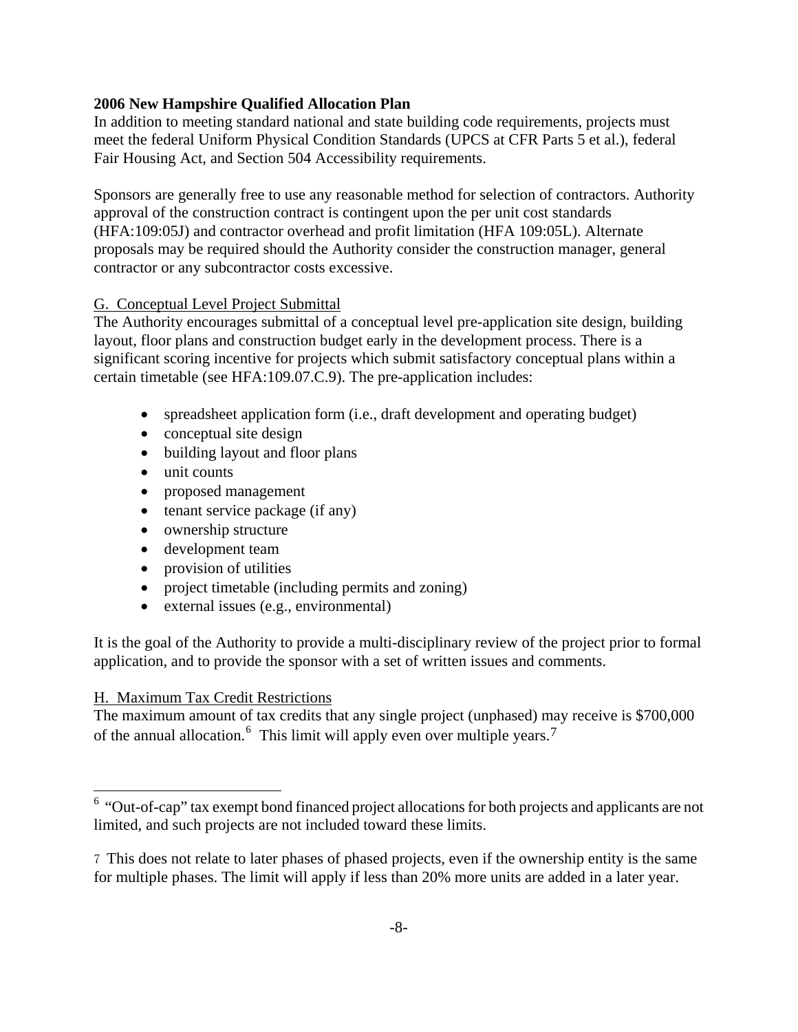In addition to meeting standard national and state building code requirements, projects must meet the federal Uniform Physical Condition Standards (UPCS at CFR Parts 5 et al.), federal Fair Housing Act, and Section 504 Accessibility requirements.

Sponsors are generally free to use any reasonable method for selection of contractors. Authority approval of the construction contract is contingent upon the per unit cost standards (HFA:109:05J) and contractor overhead and profit limitation (HFA 109:05L). Alternate proposals may be required should the Authority consider the construction manager, general contractor or any subcontractor costs excessive.

#### G. Conceptual Level Project Submittal

The Authority encourages submittal of a conceptual level pre-application site design, building layout, floor plans and construction budget early in the development process. There is a significant scoring incentive for projects which submit satisfactory conceptual plans within a certain timetable (see HFA:109.07.C.9). The pre-application includes:

- spreadsheet application form (i.e., draft development and operating budget)
- conceptual site design
- building layout and floor plans
- unit counts
- proposed management
- tenant service package (if any)
- ownership structure
- development team
- provision of utilities
- project timetable (including permits and zoning)
- external issues (e.g., environmental)

It is the goal of the Authority to provide a multi-disciplinary review of the project prior to formal application, and to provide the sponsor with a set of written issues and comments.

# H. Maximum Tax Credit Restrictions

i.

The maximum amount of tax credits that any single project (unphased) may receive is \$700,000 of the annual allocation.<sup>[6](#page-11-0)</sup> This limit will apply even over multiple years.<sup>[7](#page-11-1)</sup>

<span id="page-11-0"></span><sup>&</sup>lt;sup>6</sup> "Out-of-cap" tax exempt bond financed project allocations for both projects and applicants are not limited, and such projects are not included toward these limits.

<span id="page-11-1"></span><sup>7</sup> This does not relate to later phases of phased projects, even if the ownership entity is the same for multiple phases. The limit will apply if less than 20% more units are added in a later year.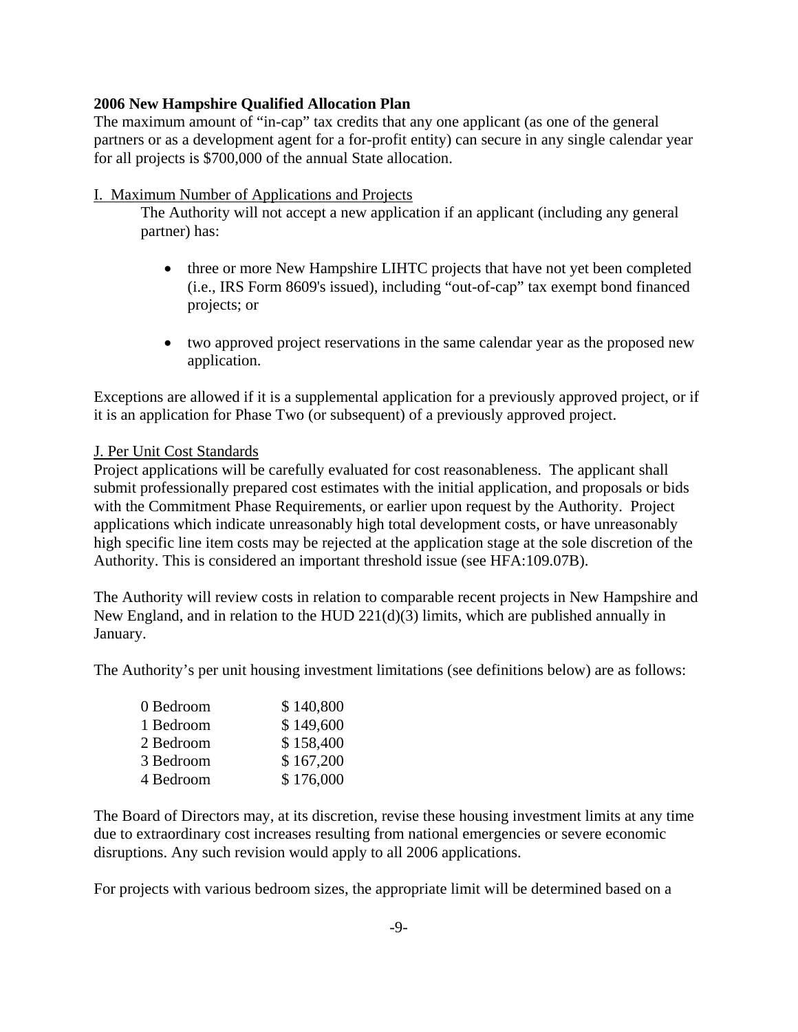The maximum amount of "in-cap" tax credits that any one applicant (as one of the general partners or as a development agent for a for-profit entity) can secure in any single calendar year for all projects is \$700,000 of the annual State allocation.

#### I. Maximum Number of Applications and Projects

The Authority will not accept a new application if an applicant (including any general partner) has:

- three or more New Hampshire LIHTC projects that have not yet been completed (i.e., IRS Form 8609's issued), including "out-of-cap" tax exempt bond financed projects; or
- two approved project reservations in the same calendar year as the proposed new application.

Exceptions are allowed if it is a supplemental application for a previously approved project, or if it is an application for Phase Two (or subsequent) of a previously approved project.

### J. Per Unit Cost Standards

Project applications will be carefully evaluated for cost reasonableness. The applicant shall submit professionally prepared cost estimates with the initial application, and proposals or bids with the Commitment Phase Requirements, or earlier upon request by the Authority. Project applications which indicate unreasonably high total development costs, or have unreasonably high specific line item costs may be rejected at the application stage at the sole discretion of the Authority. This is considered an important threshold issue (see HFA:109.07B).

The Authority will review costs in relation to comparable recent projects in New Hampshire and New England, and in relation to the HUD 221(d)(3) limits, which are published annually in January.

The Authority's per unit housing investment limitations (see definitions below) are as follows:

| 0 Bedroom | \$140,800 |
|-----------|-----------|
| 1 Bedroom | \$149,600 |
| 2 Bedroom | \$158,400 |
| 3 Bedroom | \$167,200 |
| 4 Bedroom | \$176,000 |

The Board of Directors may, at its discretion, revise these housing investment limits at any time due to extraordinary cost increases resulting from national emergencies or severe economic disruptions. Any such revision would apply to all 2006 applications.

For projects with various bedroom sizes, the appropriate limit will be determined based on a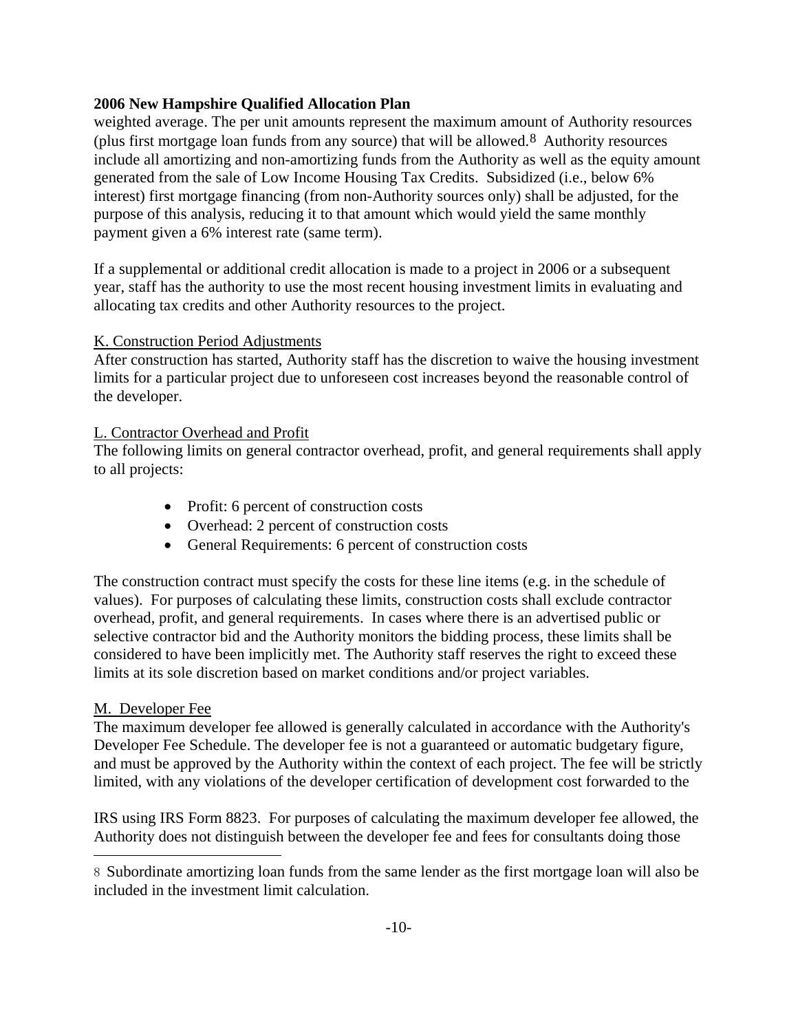weighted average. The per unit amounts represent the maximum amount of Authority resources (plus first mortgage loan funds from any source) that will be allowed.[8](#page-13-0) Authority resources include all amortizing and non-amortizing funds from the Authority as well as the equity amount generated from the sale of Low Income Housing Tax Credits. Subsidized (i.e., below 6% interest) first mortgage financing (from non-Authority sources only) shall be adjusted, for the purpose of this analysis, reducing it to that amount which would yield the same monthly payment given a 6% interest rate (same term).

If a supplemental or additional credit allocation is made to a project in 2006 or a subsequent year, staff has the authority to use the most recent housing investment limits in evaluating and allocating tax credits and other Authority resources to the project.

#### K. Construction Period Adjustments

After construction has started, Authority staff has the discretion to waive the housing investment limits for a particular project due to unforeseen cost increases beyond the reasonable control of the developer.

#### L. Contractor Overhead and Profit

The following limits on general contractor overhead, profit, and general requirements shall apply to all projects:

- Profit: 6 percent of construction costs
- Overhead: 2 percent of construction costs
- General Requirements: 6 percent of construction costs

The construction contract must specify the costs for these line items (e.g. in the schedule of values). For purposes of calculating these limits, construction costs shall exclude contractor overhead, profit, and general requirements. In cases where there is an advertised public or selective contractor bid and the Authority monitors the bidding process, these limits shall be considered to have been implicitly met. The Authority staff reserves the right to exceed these limits at its sole discretion based on market conditions and/or project variables.

#### M. Developer Fee

j.

The maximum developer fee allowed is generally calculated in accordance with the Authority's Developer Fee Schedule. The developer fee is not a guaranteed or automatic budgetary figure, and must be approved by the Authority within the context of each project. The fee will be strictly limited, with any violations of the developer certification of development cost forwarded to the

IRS using IRS Form 8823. For purposes of calculating the maximum developer fee allowed, the Authority does not distinguish between the developer fee and fees for consultants doing those

<span id="page-13-0"></span><sup>8</sup> Subordinate amortizing loan funds from the same lender as the first mortgage loan will also be included in the investment limit calculation.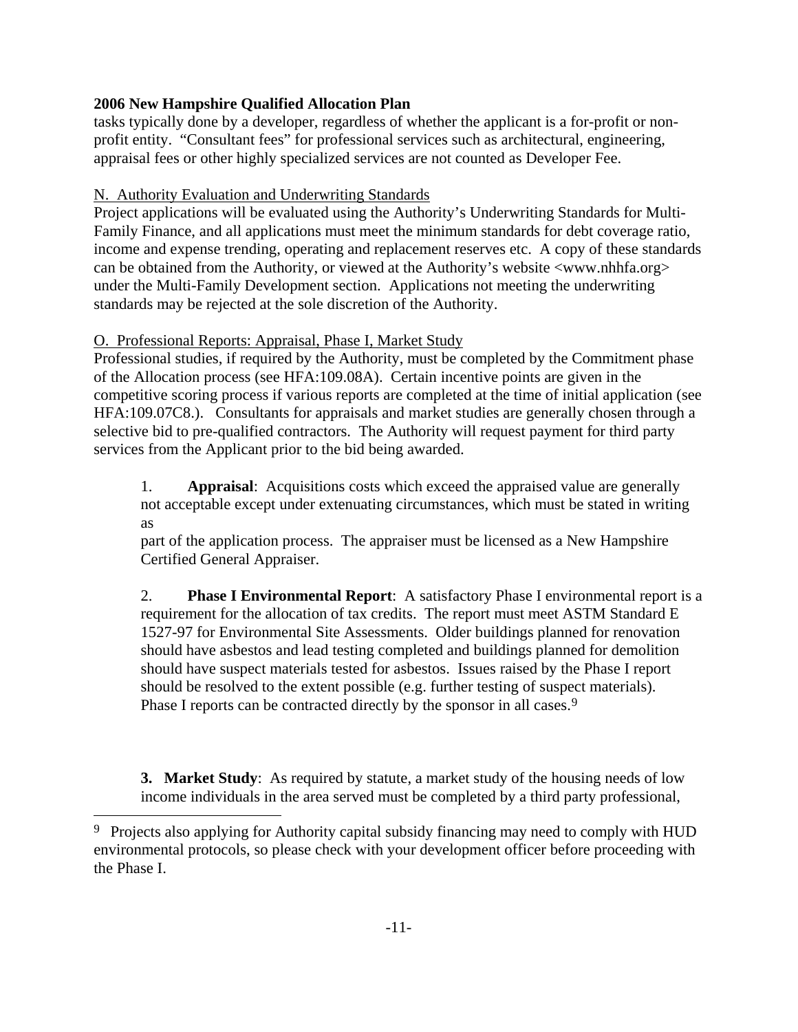tasks typically done by a developer, regardless of whether the applicant is a for-profit or nonprofit entity. "Consultant fees" for professional services such as architectural, engineering, appraisal fees or other highly specialized services are not counted as Developer Fee.

# N. Authority Evaluation and Underwriting Standards

Project applications will be evaluated using the Authority's Underwriting Standards for Multi-Family Finance, and all applications must meet the minimum standards for debt coverage ratio, income and expense trending, operating and replacement reserves etc. A copy of these standards can be obtained from the Authority, or viewed at the Authority's website  $\langle$ www.nhhfa.org $>$ under the Multi-Family Development section. Applications not meeting the underwriting standards may be rejected at the sole discretion of the Authority.

# O. Professional Reports: Appraisal, Phase I, Market Study

j.

Professional studies, if required by the Authority, must be completed by the Commitment phase of the Allocation process (see HFA:109.08A). Certain incentive points are given in the competitive scoring process if various reports are completed at the time of initial application (see HFA:109.07C8.). Consultants for appraisals and market studies are generally chosen through a selective bid to pre-qualified contractors. The Authority will request payment for third party services from the Applicant prior to the bid being awarded.

1. **Appraisal**: Acquisitions costs which exceed the appraised value are generally not acceptable except under extenuating circumstances, which must be stated in writing as

part of the application process. The appraiser must be licensed as a New Hampshire Certified General Appraiser.

2. **Phase I Environmental Report**: A satisfactory Phase I environmental report is a requirement for the allocation of tax credits. The report must meet ASTM Standard E 1527-97 for Environmental Site Assessments. Older buildings planned for renovation should have asbestos and lead testing completed and buildings planned for demolition should have suspect materials tested for asbestos. Issues raised by the Phase I report should be resolved to the extent possible (e.g. further testing of suspect materials). Phase I reports can be contracted directly by the sponsor in all cases.<sup>[9](#page-14-0)</sup>

**3. Market Study**: As required by statute, a market study of the housing needs of low income individuals in the area served must be completed by a third party professional,

<span id="page-14-0"></span><sup>&</sup>lt;sup>9</sup> Projects also applying for Authority capital subsidy financing may need to comply with HUD environmental protocols, so please check with your development officer before proceeding with the Phase I.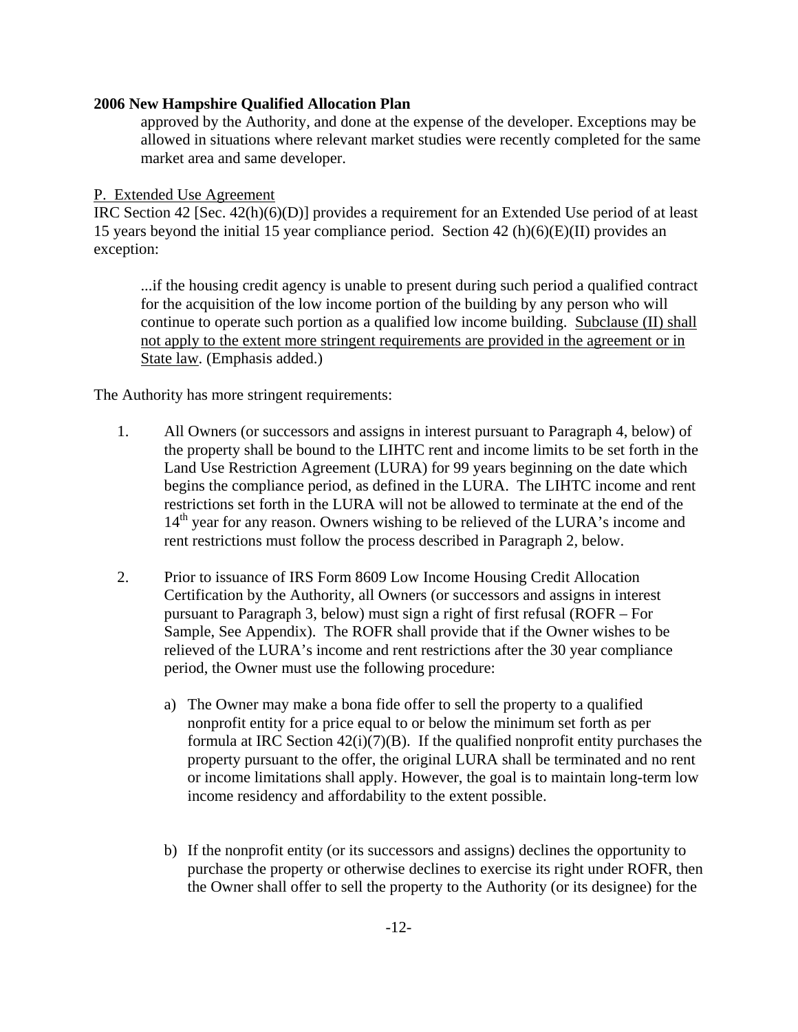approved by the Authority, and done at the expense of the developer. Exceptions may be allowed in situations where relevant market studies were recently completed for the same market area and same developer.

#### P. Extended Use Agreement

IRC Section 42 [Sec. 42(h)(6)(D)] provides a requirement for an Extended Use period of at least 15 years beyond the initial 15 year compliance period. Section 42 (h)(6)(E)(II) provides an exception:

...if the housing credit agency is unable to present during such period a qualified contract for the acquisition of the low income portion of the building by any person who will continue to operate such portion as a qualified low income building. Subclause (II) shall not apply to the extent more stringent requirements are provided in the agreement or in State law. (Emphasis added.)

The Authority has more stringent requirements:

- 1. All Owners (or successors and assigns in interest pursuant to Paragraph 4, below) of the property shall be bound to the LIHTC rent and income limits to be set forth in the Land Use Restriction Agreement (LURA) for 99 years beginning on the date which begins the compliance period, as defined in the LURA. The LIHTC income and rent restrictions set forth in the LURA will not be allowed to terminate at the end of the 14<sup>th</sup> year for any reason. Owners wishing to be relieved of the LURA's income and rent restrictions must follow the process described in Paragraph 2, below.
- 2. Prior to issuance of IRS Form 8609 Low Income Housing Credit Allocation Certification by the Authority, all Owners (or successors and assigns in interest pursuant to Paragraph 3, below) must sign a right of first refusal (ROFR – For Sample, See Appendix). The ROFR shall provide that if the Owner wishes to be relieved of the LURA's income and rent restrictions after the 30 year compliance period, the Owner must use the following procedure:
	- a) The Owner may make a bona fide offer to sell the property to a qualified nonprofit entity for a price equal to or below the minimum set forth as per formula at IRC Section  $42(i)(7)(B)$ . If the qualified nonprofit entity purchases the property pursuant to the offer, the original LURA shall be terminated and no rent or income limitations shall apply. However, the goal is to maintain long-term low income residency and affordability to the extent possible.
	- b) If the nonprofit entity (or its successors and assigns) declines the opportunity to purchase the property or otherwise declines to exercise its right under ROFR, then the Owner shall offer to sell the property to the Authority (or its designee) for the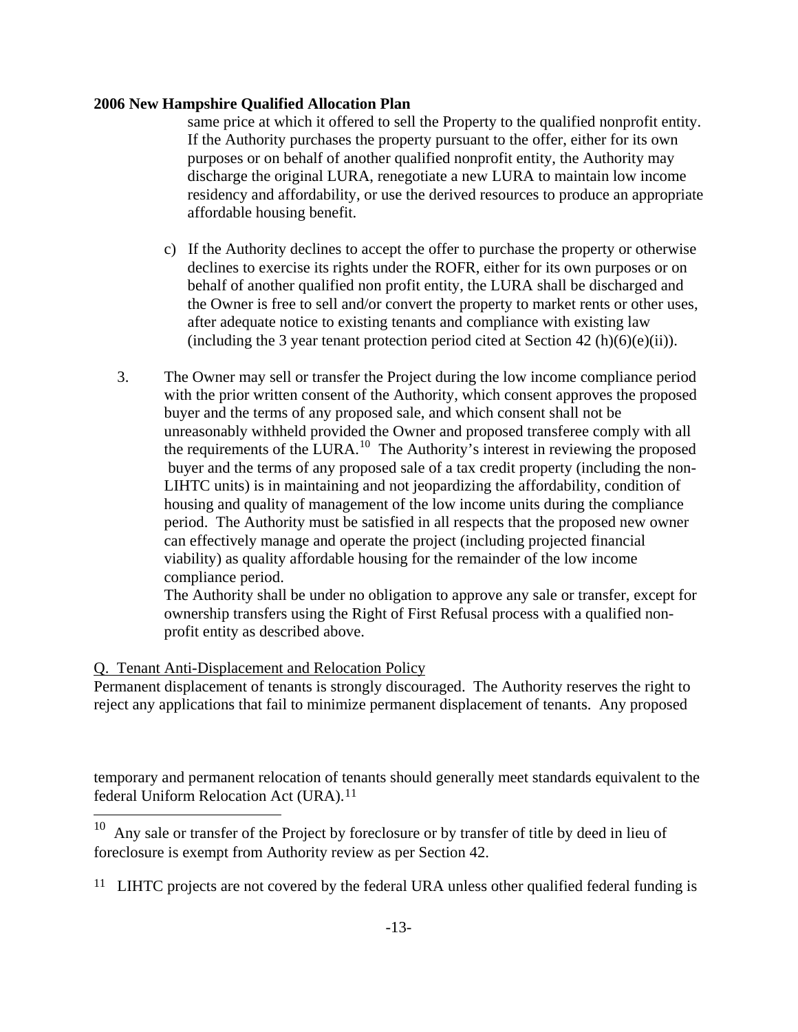same price at which it offered to sell the Property to the qualified nonprofit entity. If the Authority purchases the property pursuant to the offer, either for its own purposes or on behalf of another qualified nonprofit entity, the Authority may discharge the original LURA, renegotiate a new LURA to maintain low income residency and affordability, or use the derived resources to produce an appropriate affordable housing benefit.

- c) If the Authority declines to accept the offer to purchase the property or otherwise declines to exercise its rights under the ROFR, either for its own purposes or on behalf of another qualified non profit entity, the LURA shall be discharged and the Owner is free to sell and/or convert the property to market rents or other uses, after adequate notice to existing tenants and compliance with existing law (including the 3 year tenant protection period cited at Section 42 (h)(6)(e)(ii)).
- 3. The Owner may sell or transfer the Project during the low income compliance period with the prior written consent of the Authority, which consent approves the proposed buyer and the terms of any proposed sale, and which consent shall not be unreasonably withheld provided the Owner and proposed transferee comply with all the requirements of the LURA.<sup>[10](#page-16-0)</sup> The Authority's interest in reviewing the proposed buyer and the terms of any proposed sale of a tax credit property (including the non-LIHTC units) is in maintaining and not jeopardizing the affordability, condition of housing and quality of management of the low income units during the compliance period. The Authority must be satisfied in all respects that the proposed new owner can effectively manage and operate the project (including projected financial viability) as quality affordable housing for the remainder of the low income compliance period.

The Authority shall be under no obligation to approve any sale or transfer, except for ownership transfers using the Right of First Refusal process with a qualified nonprofit entity as described above.

# Q. Tenant Anti-Displacement and Relocation Policy

j.

Permanent displacement of tenants is strongly discouraged. The Authority reserves the right to reject any applications that fail to minimize permanent displacement of tenants. Any proposed

temporary and permanent relocation of tenants should generally meet standards equivalent to the federal Uniform Relocation Act (URA).<sup>[11](#page-16-1)</sup>

<span id="page-16-0"></span> $10$  Any sale or transfer of the Project by foreclosure or by transfer of title by deed in lieu of foreclosure is exempt from Authority review as per Section 42.

<span id="page-16-1"></span><sup>&</sup>lt;sup>11</sup> LIHTC projects are not covered by the federal URA unless other qualified federal funding is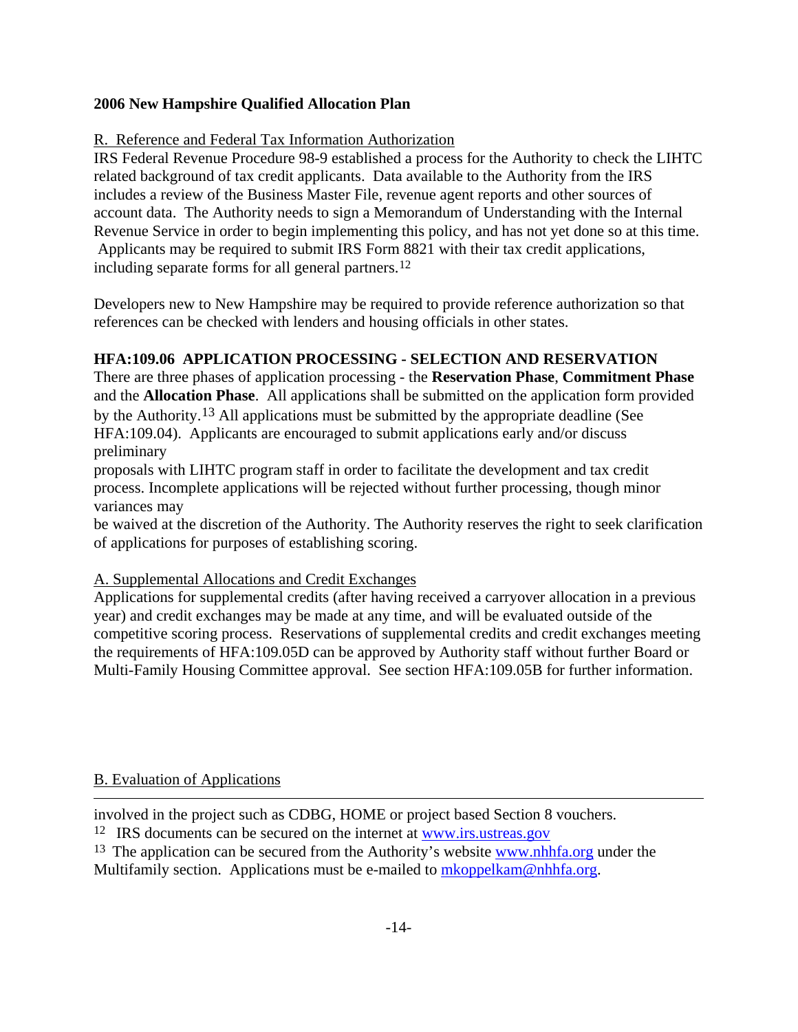# R. Reference and Federal Tax Information Authorization

IRS Federal Revenue Procedure 98-9 established a process for the Authority to check the LIHTC related background of tax credit applicants. Data available to the Authority from the IRS includes a review of the Business Master File, revenue agent reports and other sources of account data. The Authority needs to sign a Memorandum of Understanding with the Internal Revenue Service in order to begin implementing this policy, and has not yet done so at this time. Applicants may be required to submit IRS Form 8821 with their tax credit applications, including separate forms for all general partners[.12](#page-17-0)

Developers new to New Hampshire may be required to provide reference authorization so that references can be checked with lenders and housing officials in other states.

# **HFA:109.06 APPLICATION PROCESSING - SELECTION AND RESERVATION**

There are three phases of application processing - the **Reservation Phase**, **Commitment Phase** and the **Allocation Phase**. All applications shall be submitted on the application form provided by the Authority.[13](#page-17-1) All applications must be submitted by the appropriate deadline (See HFA:109.04). Applicants are encouraged to submit applications early and/or discuss preliminary

proposals with LIHTC program staff in order to facilitate the development and tax credit process. Incomplete applications will be rejected without further processing, though minor variances may

be waived at the discretion of the Authority. The Authority reserves the right to seek clarification of applications for purposes of establishing scoring.

#### A. Supplemental Allocations and Credit Exchanges

Applications for supplemental credits (after having received a carryover allocation in a previous year) and credit exchanges may be made at any time, and will be evaluated outside of the competitive scoring process. Reservations of supplemental credits and credit exchanges meeting the requirements of HFA:109.05D can be approved by Authority staff without further Board or Multi-Family Housing Committee approval. See section HFA:109.05B for further information.

# B. Evaluation of Applications

i.

involved in the project such as CDBG, HOME or project based Section 8 vouchers.

<span id="page-17-0"></span><sup>12</sup> IRS documents can be secured on the internet at www.irs.ustreas.gov

<span id="page-17-1"></span><sup>13</sup> The application can be secured from the Authority's website [www.nhhfa.org](http://www.nhhfa.org/) under the Multifamily section. Applications must be e-mailed to [mkoppelkam@nhhfa.org](mailto:mkoppelkam@nhhfa.org).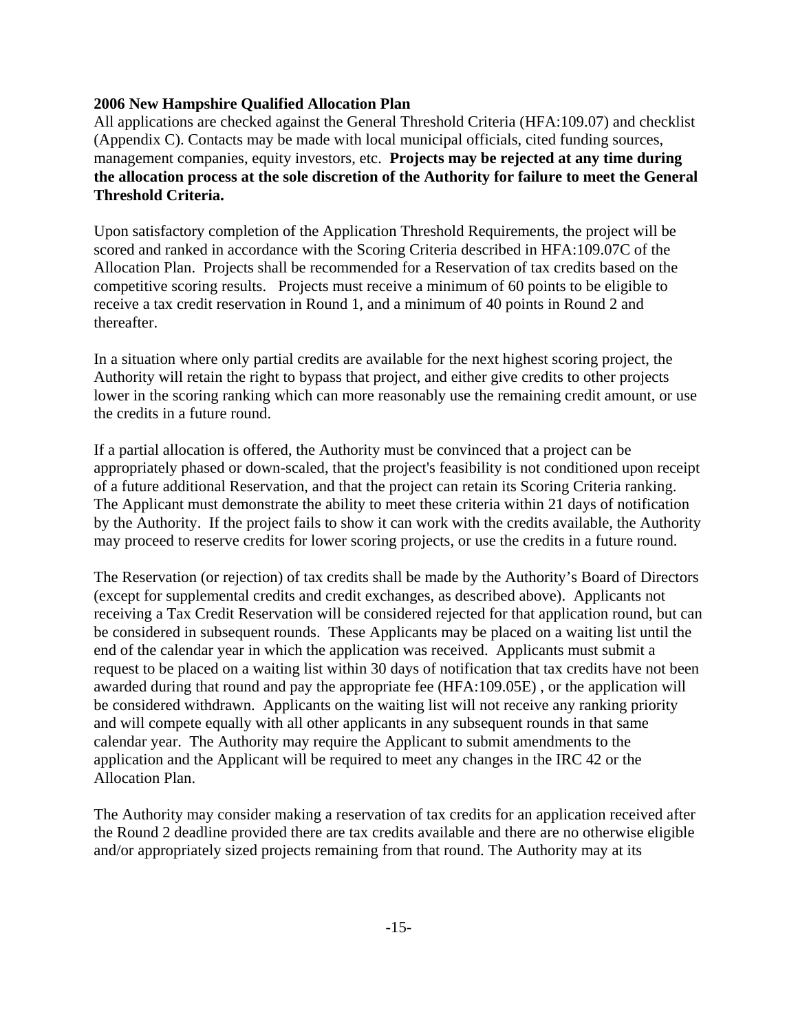All applications are checked against the General Threshold Criteria (HFA:109.07) and checklist (Appendix C). Contacts may be made with local municipal officials, cited funding sources, management companies, equity investors, etc. **Projects may be rejected at any time during the allocation process at the sole discretion of the Authority for failure to meet the General Threshold Criteria.**

Upon satisfactory completion of the Application Threshold Requirements, the project will be scored and ranked in accordance with the Scoring Criteria described in HFA:109.07C of the Allocation Plan. Projects shall be recommended for a Reservation of tax credits based on the competitive scoring results. Projects must receive a minimum of 60 points to be eligible to receive a tax credit reservation in Round 1, and a minimum of 40 points in Round 2 and thereafter.

In a situation where only partial credits are available for the next highest scoring project, the Authority will retain the right to bypass that project, and either give credits to other projects lower in the scoring ranking which can more reasonably use the remaining credit amount, or use the credits in a future round.

If a partial allocation is offered, the Authority must be convinced that a project can be appropriately phased or down-scaled, that the project's feasibility is not conditioned upon receipt of a future additional Reservation, and that the project can retain its Scoring Criteria ranking. The Applicant must demonstrate the ability to meet these criteria within 21 days of notification by the Authority. If the project fails to show it can work with the credits available, the Authority may proceed to reserve credits for lower scoring projects, or use the credits in a future round.

The Reservation (or rejection) of tax credits shall be made by the Authority's Board of Directors (except for supplemental credits and credit exchanges, as described above). Applicants not receiving a Tax Credit Reservation will be considered rejected for that application round, but can be considered in subsequent rounds. These Applicants may be placed on a waiting list until the end of the calendar year in which the application was received. Applicants must submit a request to be placed on a waiting list within 30 days of notification that tax credits have not been awarded during that round and pay the appropriate fee (HFA:109.05E) , or the application will be considered withdrawn. Applicants on the waiting list will not receive any ranking priority and will compete equally with all other applicants in any subsequent rounds in that same calendar year. The Authority may require the Applicant to submit amendments to the application and the Applicant will be required to meet any changes in the IRC 42 or the Allocation Plan.

The Authority may consider making a reservation of tax credits for an application received after the Round 2 deadline provided there are tax credits available and there are no otherwise eligible and/or appropriately sized projects remaining from that round. The Authority may at its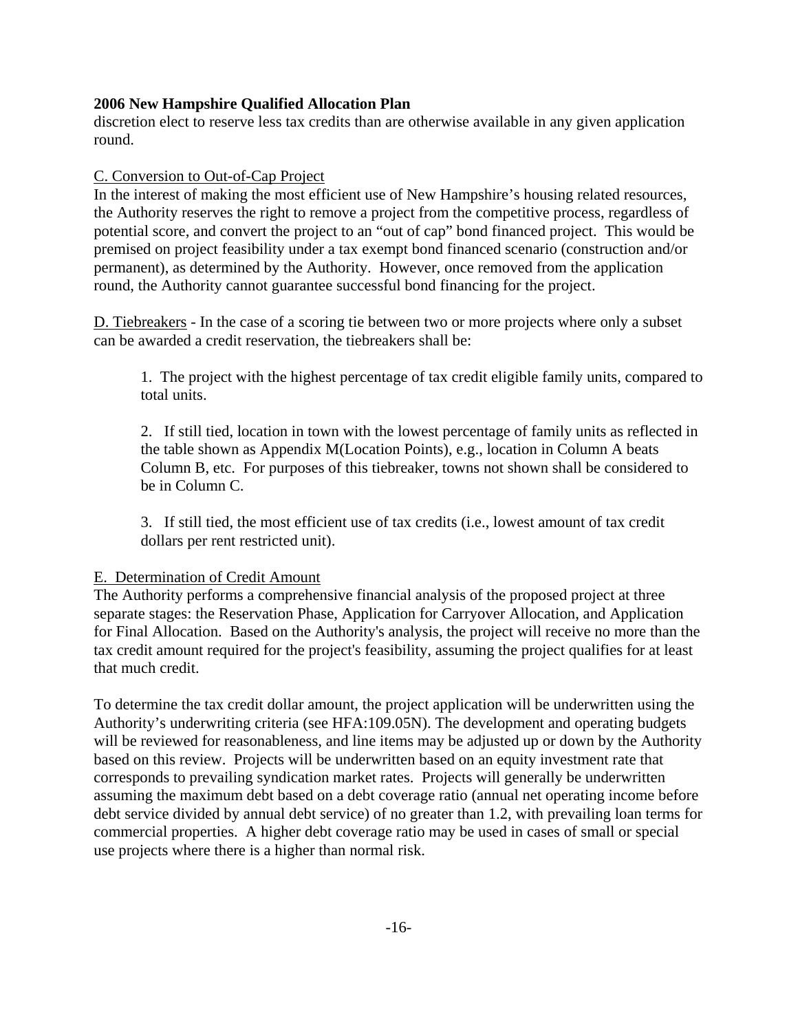discretion elect to reserve less tax credits than are otherwise available in any given application round.

#### C. Conversion to Out-of-Cap Project

In the interest of making the most efficient use of New Hampshire's housing related resources, the Authority reserves the right to remove a project from the competitive process, regardless of potential score, and convert the project to an "out of cap" bond financed project. This would be premised on project feasibility under a tax exempt bond financed scenario (construction and/or permanent), as determined by the Authority. However, once removed from the application round, the Authority cannot guarantee successful bond financing for the project.

D. Tiebreakers - In the case of a scoring tie between two or more projects where only a subset can be awarded a credit reservation, the tiebreakers shall be:

1. The project with the highest percentage of tax credit eligible family units, compared to total units.

2. If still tied, location in town with the lowest percentage of family units as reflected in the table shown as Appendix M(Location Points), e.g., location in Column A beats Column B, etc. For purposes of this tiebreaker, towns not shown shall be considered to be in Column C.

3. If still tied, the most efficient use of tax credits (i.e., lowest amount of tax credit dollars per rent restricted unit).

#### E. Determination of Credit Amount

The Authority performs a comprehensive financial analysis of the proposed project at three separate stages: the Reservation Phase, Application for Carryover Allocation, and Application for Final Allocation. Based on the Authority's analysis, the project will receive no more than the tax credit amount required for the project's feasibility, assuming the project qualifies for at least that much credit.

To determine the tax credit dollar amount, the project application will be underwritten using the Authority's underwriting criteria (see HFA:109.05N). The development and operating budgets will be reviewed for reasonableness, and line items may be adjusted up or down by the Authority based on this review. Projects will be underwritten based on an equity investment rate that corresponds to prevailing syndication market rates. Projects will generally be underwritten assuming the maximum debt based on a debt coverage ratio (annual net operating income before debt service divided by annual debt service) of no greater than 1.2, with prevailing loan terms for commercial properties. A higher debt coverage ratio may be used in cases of small or special use projects where there is a higher than normal risk.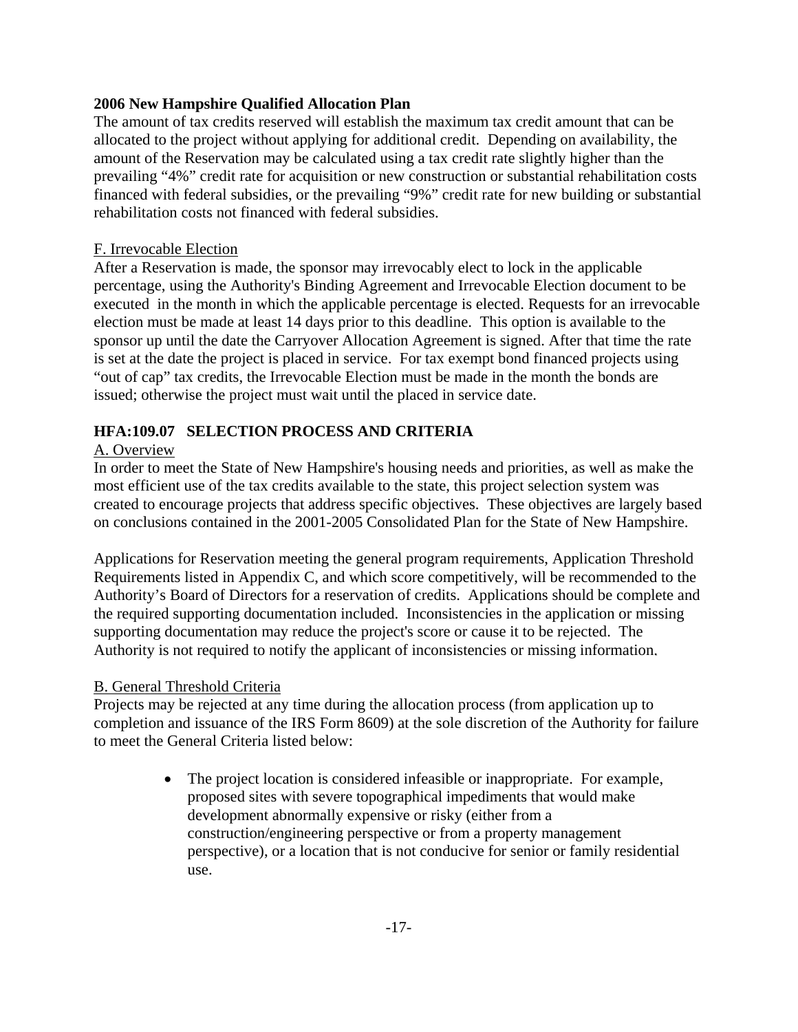The amount of tax credits reserved will establish the maximum tax credit amount that can be allocated to the project without applying for additional credit. Depending on availability, the amount of the Reservation may be calculated using a tax credit rate slightly higher than the prevailing "4%" credit rate for acquisition or new construction or substantial rehabilitation costs financed with federal subsidies, or the prevailing "9%" credit rate for new building or substantial rehabilitation costs not financed with federal subsidies.

#### F. Irrevocable Election

After a Reservation is made, the sponsor may irrevocably elect to lock in the applicable percentage, using the Authority's Binding Agreement and Irrevocable Election document to be executed in the month in which the applicable percentage is elected. Requests for an irrevocable election must be made at least 14 days prior to this deadline. This option is available to the sponsor up until the date the Carryover Allocation Agreement is signed. After that time the rate is set at the date the project is placed in service. For tax exempt bond financed projects using "out of cap" tax credits, the Irrevocable Election must be made in the month the bonds are issued; otherwise the project must wait until the placed in service date.

### **HFA:109.07 SELECTION PROCESS AND CRITERIA**

### A. Overview

In order to meet the State of New Hampshire's housing needs and priorities, as well as make the most efficient use of the tax credits available to the state, this project selection system was created to encourage projects that address specific objectives. These objectives are largely based on conclusions contained in the 2001-2005 Consolidated Plan for the State of New Hampshire.

Applications for Reservation meeting the general program requirements, Application Threshold Requirements listed in Appendix C, and which score competitively, will be recommended to the Authority's Board of Directors for a reservation of credits. Applications should be complete and the required supporting documentation included. Inconsistencies in the application or missing supporting documentation may reduce the project's score or cause it to be rejected. The Authority is not required to notify the applicant of inconsistencies or missing information.

#### B. General Threshold Criteria

Projects may be rejected at any time during the allocation process (from application up to completion and issuance of the IRS Form 8609) at the sole discretion of the Authority for failure to meet the General Criteria listed below:

> • The project location is considered infeasible or inappropriate. For example, proposed sites with severe topographical impediments that would make development abnormally expensive or risky (either from a construction/engineering perspective or from a property management perspective), or a location that is not conducive for senior or family residential use.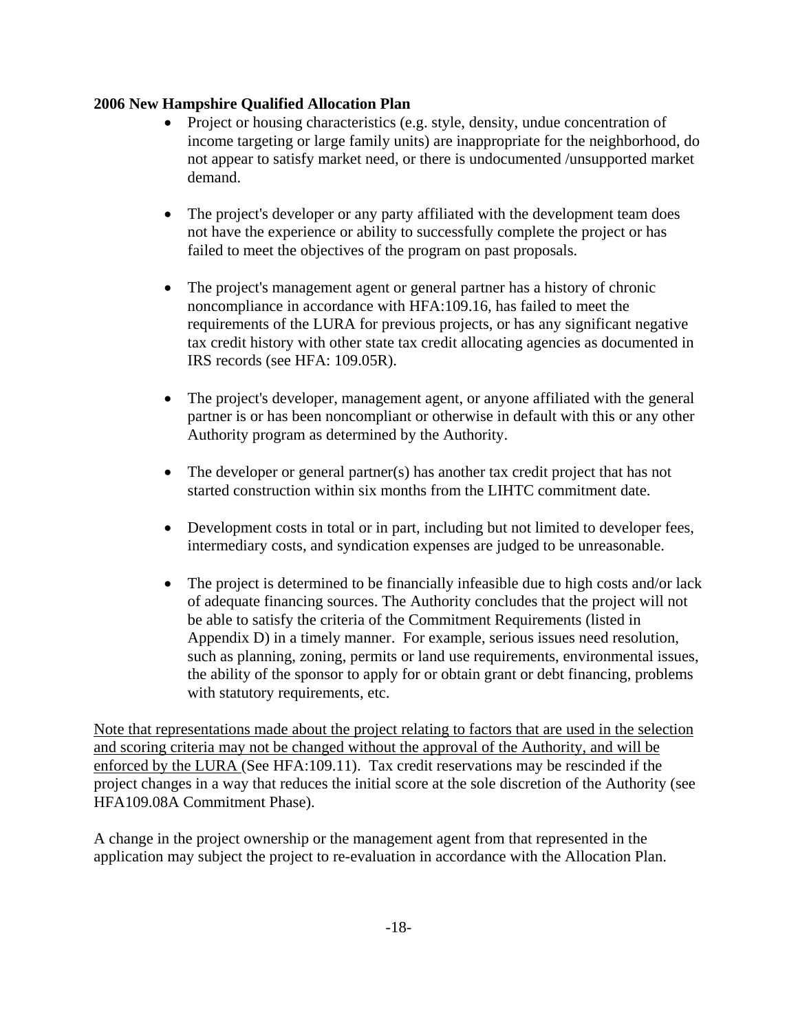- Project or housing characteristics (e.g. style, density, undue concentration of income targeting or large family units) are inappropriate for the neighborhood, do not appear to satisfy market need, or there is undocumented /unsupported market demand.
- The project's developer or any party affiliated with the development team does not have the experience or ability to successfully complete the project or has failed to meet the objectives of the program on past proposals.
- The project's management agent or general partner has a history of chronic noncompliance in accordance with HFA:109.16, has failed to meet the requirements of the LURA for previous projects, or has any significant negative tax credit history with other state tax credit allocating agencies as documented in IRS records (see HFA: 109.05R).
- The project's developer, management agent, or anyone affiliated with the general partner is or has been noncompliant or otherwise in default with this or any other Authority program as determined by the Authority.
- The developer or general partner(s) has another tax credit project that has not started construction within six months from the LIHTC commitment date.
- Development costs in total or in part, including but not limited to developer fees, intermediary costs, and syndication expenses are judged to be unreasonable.
- The project is determined to be financially infeasible due to high costs and/or lack of adequate financing sources. The Authority concludes that the project will not be able to satisfy the criteria of the Commitment Requirements (listed in Appendix D) in a timely manner. For example, serious issues need resolution, such as planning, zoning, permits or land use requirements, environmental issues, the ability of the sponsor to apply for or obtain grant or debt financing, problems with statutory requirements, etc.

Note that representations made about the project relating to factors that are used in the selection and scoring criteria may not be changed without the approval of the Authority, and will be enforced by the LURA (See HFA:109.11). Tax credit reservations may be rescinded if the project changes in a way that reduces the initial score at the sole discretion of the Authority (see HFA109.08A Commitment Phase).

A change in the project ownership or the management agent from that represented in the application may subject the project to re-evaluation in accordance with the Allocation Plan.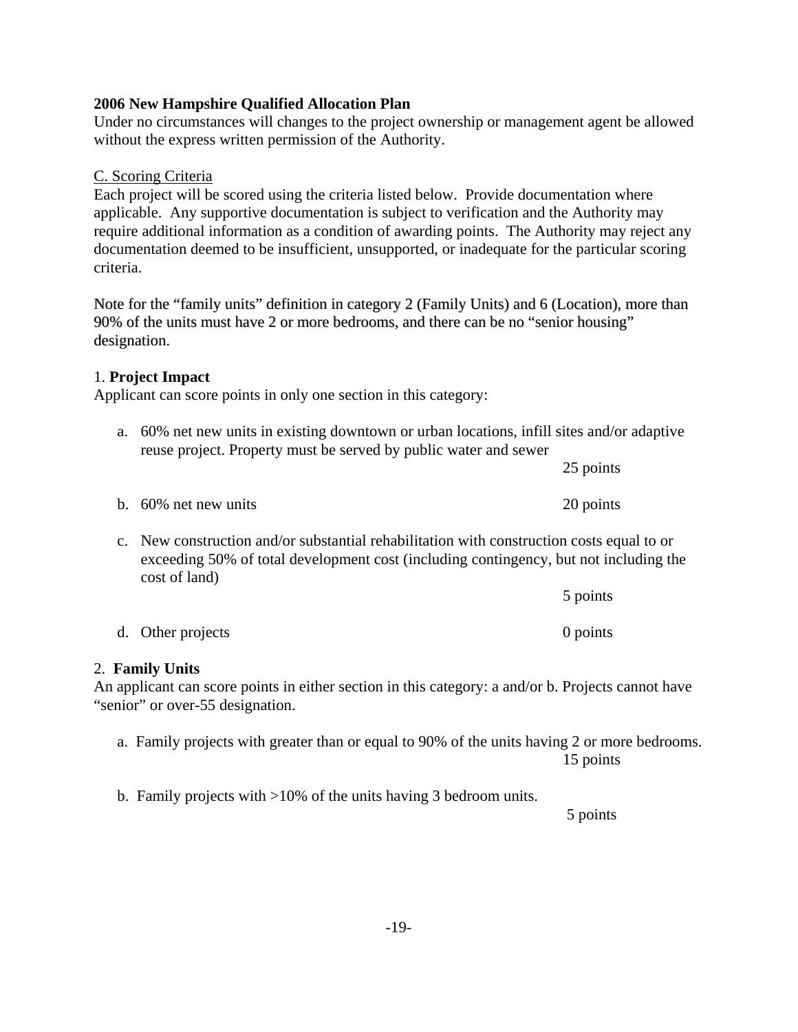1. **Project Impact**  Applicant can score points in only one section in this category:

| a. | 60% net new units in existing downtown or urban locations, infill sites and/or adaptive<br>reuse project. Property must be served by public water and sewer                                        |           |
|----|----------------------------------------------------------------------------------------------------------------------------------------------------------------------------------------------------|-----------|
|    |                                                                                                                                                                                                    | 25 points |
|    | b. $60\%$ net new units                                                                                                                                                                            | 20 points |
|    | c. New construction and/or substantial rehabilitation with construction costs equal to or<br>$1!$ FON $0 \leq 1 \leq 1$ $1 \leq 1 \leq 1$ $1 \leq 1 \leq 1 \leq 1$ $1 \leq 1 \leq 1 \leq 1 \leq 1$ |           |

exceeding 50% of total development cost (including contingency, but not including the cost of land) 5 points

| d. Other projects | 0 points |
|-------------------|----------|

# 2. **Family Units**

An applicant can score points in either section in this category: a and/or b. Projects cannot have "senior" or over-55 designation.

a. Family projects with greater than or equal to 90% of the units having 2 or more bedrooms. 15 points

b. Family projects with >10% of the units having 3 bedroom units.

5 points

# **2006 New Hampshire Qualified Allocation Plan**

Under no circumstances will changes to the project ownership or management agent be allowed without the express written permission of the Authority.

# C. Scoring Criteria

designation.

Each project will be scored using the criteria listed below. Provide documentation where applicable. Any supportive documentation is subject to verification and the Authority may require additional information as a condition of awarding points. The Authority may reject any documentation deemed to be insufficient, unsupported, or inadequate for the particular scoring criteria.

Note for the "family units" definition in category 2 (Family Units) and 6 (Location), more than

90% of the units must have 2 or more bedrooms, and there can be no "senior housing"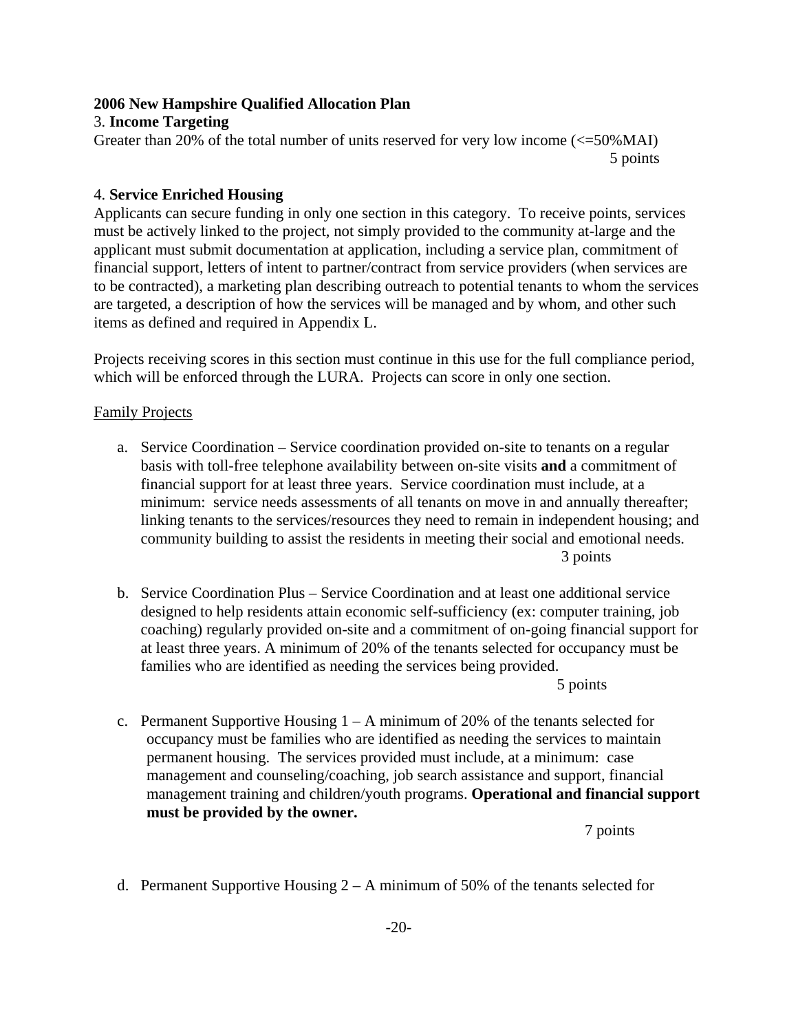#### 3. **Income Targeting**

Greater than 20% of the total number of units reserved for very low income (<=50%MAI) 5 points

### 4. **Service Enriched Housing**

Applicants can secure funding in only one section in this category. To receive points, services must be actively linked to the project, not simply provided to the community at-large and the applicant must submit documentation at application, including a service plan, commitment of financial support, letters of intent to partner/contract from service providers (when services are to be contracted), a marketing plan describing outreach to potential tenants to whom the services are targeted, a description of how the services will be managed and by whom, and other such items as defined and required in Appendix L.

Projects receiving scores in this section must continue in this use for the full compliance period, which will be enforced through the LURA. Projects can score in only one section.

### Family Projects

- a. Service Coordination Service coordination provided on-site to tenants on a regular basis with toll-free telephone availability between on-site visits **and** a commitment of financial support for at least three years. Service coordination must include, at a minimum: service needs assessments of all tenants on move in and annually thereafter; linking tenants to the services/resources they need to remain in independent housing; and community building to assist the residents in meeting their social and emotional needs. 3 points
- b. Service Coordination Plus Service Coordination and at least one additional service designed to help residents attain economic self-sufficiency (ex: computer training, job coaching) regularly provided on-site and a commitment of on-going financial support for at least three years. A minimum of 20% of the tenants selected for occupancy must be families who are identified as needing the services being provided.

5 points

c. Permanent Supportive Housing  $1 - A$  minimum of 20% of the tenants selected for occupancy must be families who are identified as needing the services to maintain permanent housing. The services provided must include, at a minimum: case management and counseling/coaching, job search assistance and support, financial management training and children/youth programs. **Operational and financial support must be provided by the owner.** 

7 points

d. Permanent Supportive Housing 2 – A minimum of 50% of the tenants selected for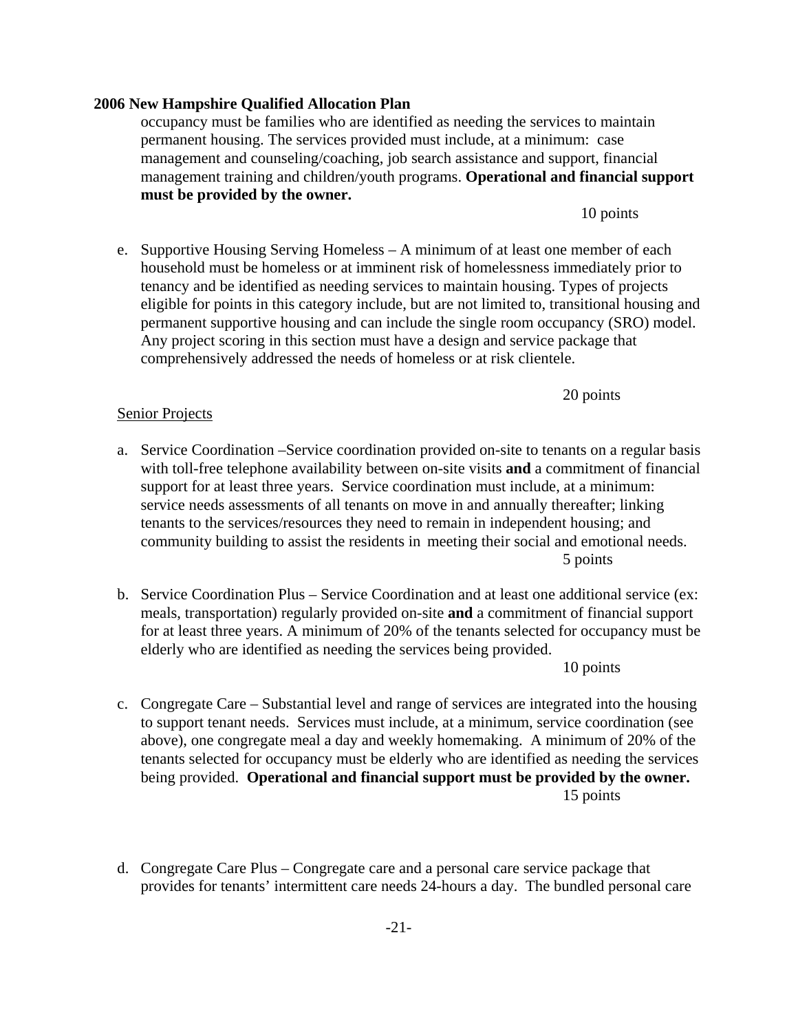#### -21-

#### **2006 New Hampshire Qualified Allocation Plan**

occupancy must be families who are identified as needing the services to maintain permanent housing. The services provided must include, at a minimum: case management and counseling/coaching, job search assistance and support, financial management training and children/youth programs. **Operational and financial support must be provided by the owner.** 

10 points

e. Supportive Housing Serving Homeless – A minimum of at least one member of each household must be homeless or at imminent risk of homelessness immediately prior to tenancy and be identified as needing services to maintain housing. Types of projects eligible for points in this category include, but are not limited to, transitional housing and permanent supportive housing and can include the single room occupancy (SRO) model. Any project scoring in this section must have a design and service package that comprehensively addressed the needs of homeless or at risk clientele.

20 points

### Senior Projects

- a. Service Coordination –Service coordination provided on-site to tenants on a regular basis with toll-free telephone availability between on-site visits **and** a commitment of financial support for at least three years. Service coordination must include, at a minimum: service needs assessments of all tenants on move in and annually thereafter; linking tenants to the services/resources they need to remain in independent housing; and community building to assist the residents in meeting their social and emotional needs. 5 points
- b. Service Coordination Plus Service Coordination and at least one additional service (ex: meals, transportation) regularly provided on-site **and** a commitment of financial support for at least three years. A minimum of 20% of the tenants selected for occupancy must be elderly who are identified as needing the services being provided.

10 points

- c. Congregate Care Substantial level and range of services are integrated into the housing to support tenant needs. Services must include, at a minimum, service coordination (see above), one congregate meal a day and weekly homemaking. A minimum of 20% of the tenants selected for occupancy must be elderly who are identified as needing the services being provided. **Operational and financial support must be provided by the owner.** 15 points
- d. Congregate Care Plus Congregate care and a personal care service package that provides for tenants' intermittent care needs 24-hours a day. The bundled personal care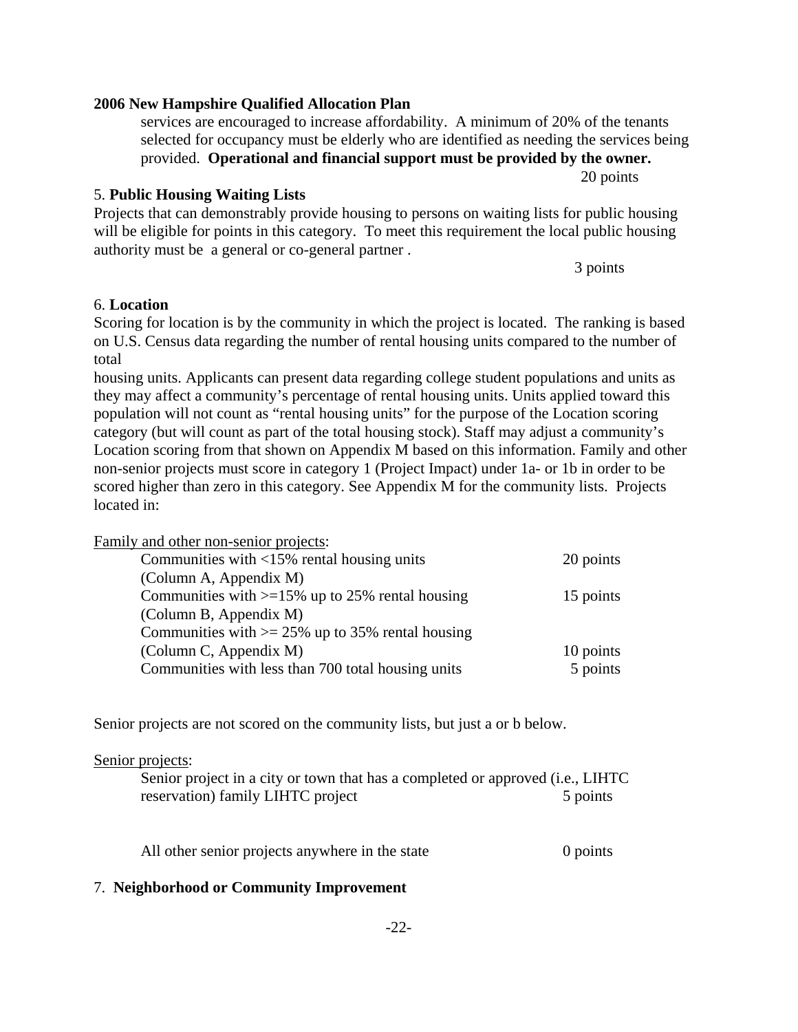# 3 points

authority must be a general or co-general partner .

# 6. **Location**

Scoring for location is by the community in which the project is located. The ranking is based on U.S. Census data regarding the number of rental housing units compared to the number of total

Projects that can demonstrably provide housing to persons on waiting lists for public housing will be eligible for points in this category. To meet this requirement the local public housing

housing units. Applicants can present data regarding college student populations and units as they may affect a community's percentage of rental housing units. Units applied toward this population will not count as "rental housing units" for the purpose of the Location scoring category (but will count as part of the total housing stock). Staff may adjust a community's Location scoring from that shown on Appendix M based on this information. Family and other non-senior projects must score in category 1 (Project Impact) under 1a- or 1b in order to be scored higher than zero in this category. See Appendix M for the community lists. Projects located in:

Family and other non-senior projects:

| Communities with $\langle 15\% \rangle$ rental housing units | 20 points |
|--------------------------------------------------------------|-----------|
| (Column A, Appendix M)                                       |           |
| Communities with $>=15\%$ up to 25% rental housing           | 15 points |
| (Column B, Appendix M)                                       |           |
| Communities with $\ge$ 25% up to 35% rental housing          |           |
| (Column C, Appendix M)                                       | 10 points |
| Communities with less than 700 total housing units           | 5 points  |

Senior projects are not scored on the community lists, but just a or b below.

#### Senior projects:

| Senior project in a city or town that has a completed or approved (i.e., LIHTC) |          |
|---------------------------------------------------------------------------------|----------|
| reservation) family LIHTC project                                               | 5 points |

All other senior projects anywhere in the state 0 points

#### 7. **Neighborhood or Community Improvement**

#### **2006 New Hampshire Qualified Allocation Plan**

5. **Public Housing Waiting Lists** 

services are encouraged to increase affordability. A minimum of 20% of the tenants selected for occupancy must be elderly who are identified as needing the services being provided. **Operational and financial support must be provided by the owner.**

20 points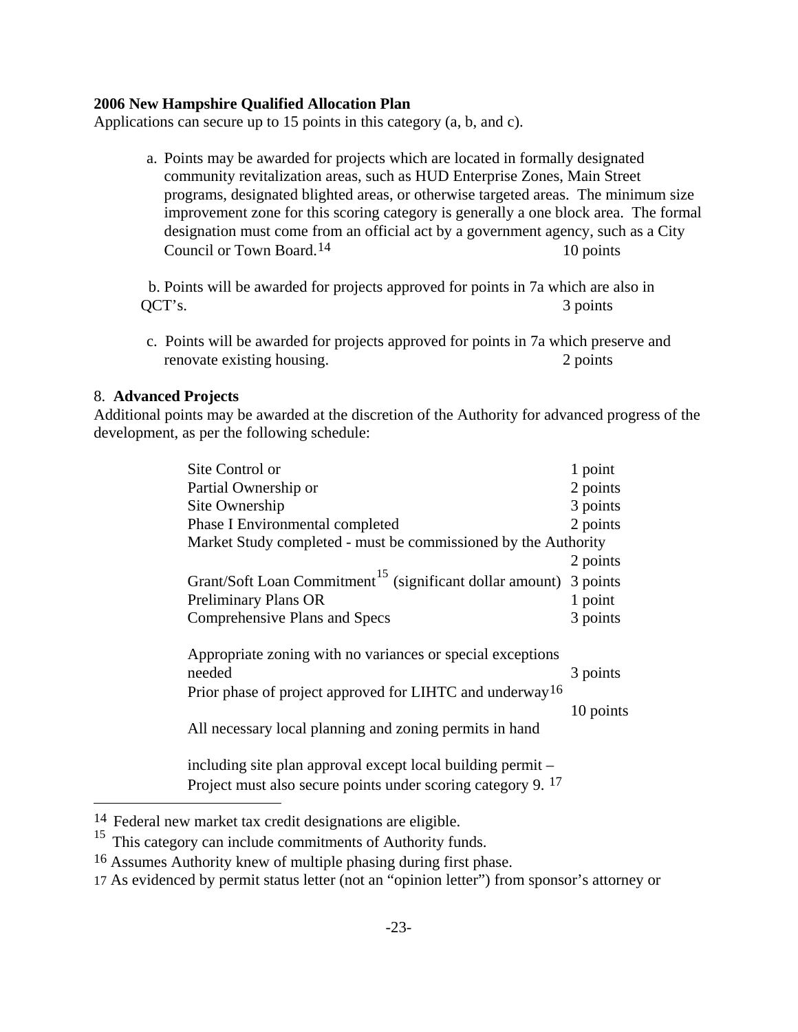Applications can secure up to 15 points in this category (a, b, and c).

a. Points may be awarded for projects which are located in formally designated community revitalization areas, such as HUD Enterprise Zones, Main Street programs, designated blighted areas, or otherwise targeted areas. The minimum size improvement zone for this scoring category is generally a one block area. The formal designation must come from an official act by a government agency, such as a City Council or Town Board.<sup>[14](#page-26-0)</sup> 10 points

 b. Points will be awarded for projects approved for points in 7a which are also in QCT's. 3 points

c. Points will be awarded for projects approved for points in 7a which preserve and renovate existing housing. 2 points

#### 8. **Advanced Projects**

j.

Additional points may be awarded at the discretion of the Authority for advanced progress of the development, as per the following schedule:

| Site Control or                 |                                                                               | 1 point   |
|---------------------------------|-------------------------------------------------------------------------------|-----------|
| Partial Ownership or            |                                                                               | 2 points  |
| Site Ownership                  |                                                                               | 3 points  |
| Phase I Environmental completed |                                                                               | 2 points  |
|                                 | Market Study completed - must be commissioned by the Authority                |           |
|                                 |                                                                               | 2 points  |
|                                 | Grant/Soft Loan Commitment <sup>15</sup> (significant dollar amount) 3 points |           |
| <b>Preliminary Plans OR</b>     |                                                                               | 1 point   |
| Comprehensive Plans and Specs   |                                                                               | 3 points  |
|                                 | Appropriate zoning with no variances or special exceptions                    |           |
| needed                          |                                                                               | 3 points  |
|                                 | Prior phase of project approved for LIHTC and underway <sup>16</sup>          |           |
|                                 |                                                                               | 10 points |
|                                 | All necessary local planning and zoning permits in hand                       |           |
|                                 | including site plan approval except local building permit –                   |           |
|                                 | Project must also secure points under scoring category 9. 17                  |           |

<span id="page-26-0"></span><sup>14</sup> Federal new market tax credit designations are eligible.

<span id="page-26-1"></span><sup>&</sup>lt;sup>15</sup> This category can include commitments of Authority funds.

<span id="page-26-2"></span><sup>16</sup> Assumes Authority knew of multiple phasing during first phase.

<span id="page-26-3"></span><sup>17</sup> As evidenced by permit status letter (not an "opinion letter") from sponsor's attorney or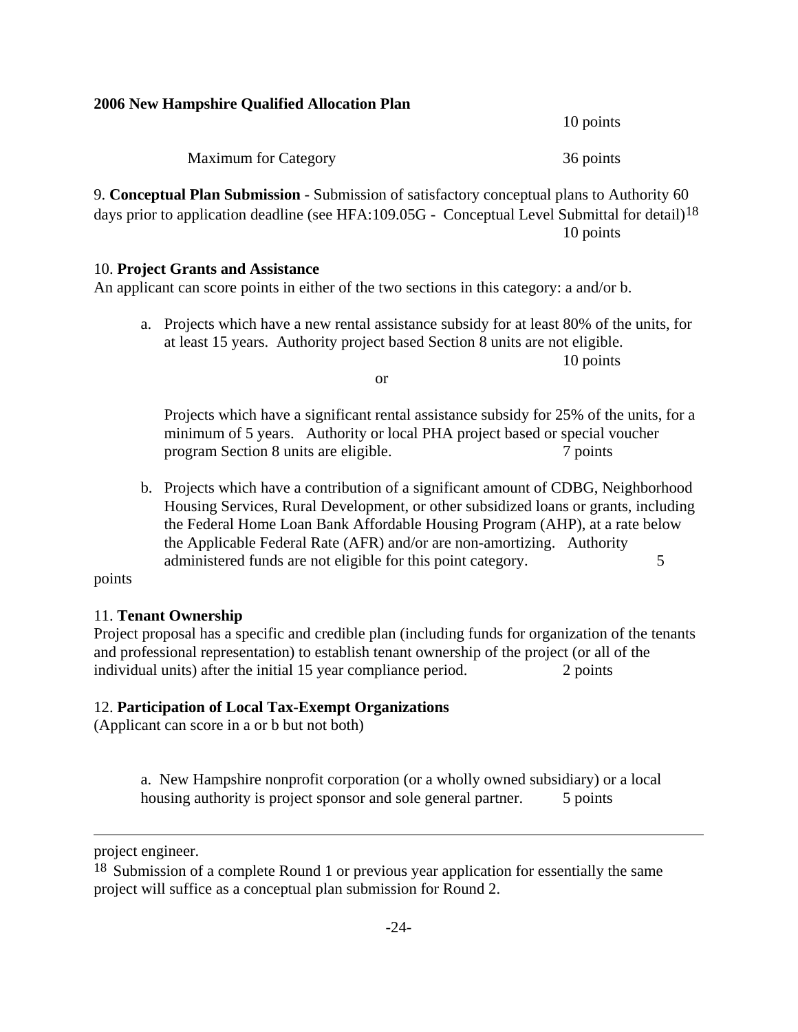10 points

Maximum for Category 36 points

9. **Conceptual Plan Submission** - Submission of satisfactory conceptual plans to Authority 60 days prior to application deadline (see HFA:109.05G - Conceptual Level Submittal for detail)<sup>[18](#page-27-0)</sup> 10 points

#### 10. **Project Grants and Assistance**

An applicant can score points in either of the two sections in this category: a and/or b.

a. Projects which have a new rental assistance subsidy for at least 80% of the units, for at least 15 years. Authority project based Section 8 units are not eligible.

10 points

or

Projects which have a significant rental assistance subsidy for 25% of the units, for a minimum of 5 years. Authority or local PHA project based or special voucher program Section 8 units are eligible. 7 points

b. Projects which have a contribution of a significant amount of CDBG, Neighborhood Housing Services, Rural Development, or other subsidized loans or grants, including the Federal Home Loan Bank Affordable Housing Program (AHP), at a rate below the Applicable Federal Rate (AFR) and/or are non-amortizing. Authority administered funds are not eligible for this point category.  $\frac{5}{9}$ 

#### points

#### 11. **Tenant Ownership**

Project proposal has a specific and credible plan (including funds for organization of the tenants and professional representation) to establish tenant ownership of the project (or all of the individual units) after the initial 15 year compliance period. 2 points

#### 12. **Participation of Local Tax-Exempt Organizations**

(Applicant can score in a or b but not both)

a. New Hampshire nonprofit corporation (or a wholly owned subsidiary) or a local housing authority is project sponsor and sole general partner. 5 points

i.

project engineer.

<span id="page-27-0"></span><sup>18</sup> Submission of a complete Round 1 or previous year application for essentially the same project will suffice as a conceptual plan submission for Round 2.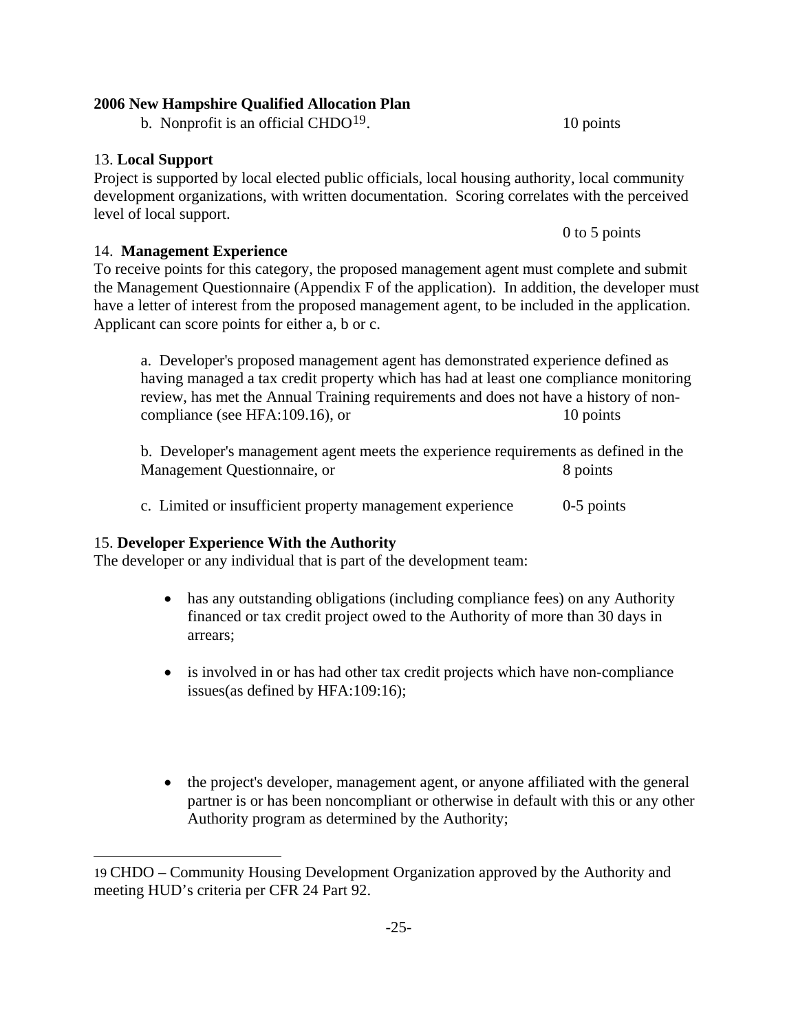b. Nonprofit is an official CHDO<sup>[19](#page-28-0)</sup>.  $10 \text{ points}$ 

# 13. **Local Support**

i.

Project is supported by local elected public officials, local housing authority, local community development organizations, with written documentation. Scoring correlates with the perceived level of local support.

14. **Management Experience**

To receive points for this category, the proposed management agent must complete and submit the Management Questionnaire (Appendix F of the application). In addition, the developer must have a letter of interest from the proposed management agent, to be included in the application. Applicant can score points for either a, b or c.

a. Developer's proposed management agent has demonstrated experience defined as having managed a tax credit property which has had at least one compliance monitoring review, has met the Annual Training requirements and does not have a history of noncompliance (see HFA:109.16), or 10 points

b. Developer's management agent meets the experience requirements as defined in the Management Questionnaire, or 8 points

c. Limited or insufficient property management experience 0-5 points

# 15. **Developer Experience With the Authority**

The developer or any individual that is part of the development team:

- has any outstanding obligations (including compliance fees) on any Authority financed or tax credit project owed to the Authority of more than 30 days in arrears;
- is involved in or has had other tax credit projects which have non-compliance issues(as defined by HFA:109:16);
- the project's developer, management agent, or anyone affiliated with the general partner is or has been noncompliant or otherwise in default with this or any other Authority program as determined by the Authority;

0 to 5 points

<span id="page-28-0"></span><sup>19</sup> CHDO – Community Housing Development Organization approved by the Authority and meeting HUD's criteria per CFR 24 Part 92.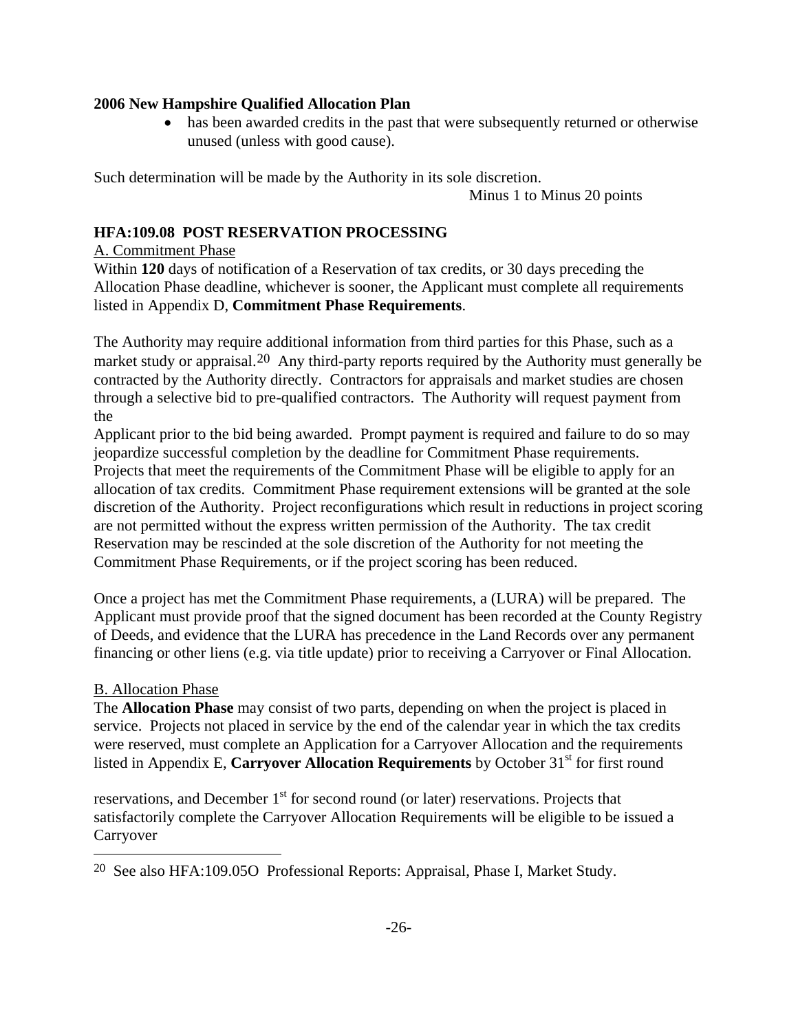has been awarded credits in the past that were subsequently returned or otherwise unused (unless with good cause).

Such determination will be made by the Authority in its sole discretion.

Minus 1 to Minus 20 points

# **HFA:109.08 POST RESERVATION PROCESSING**

### A. Commitment Phase

Within **120** days of notification of a Reservation of tax credits, or 30 days preceding the Allocation Phase deadline, whichever is sooner, the Applicant must complete all requirements listed in Appendix D, **Commitment Phase Requirements**.

The Authority may require additional information from third parties for this Phase, such as a market study or appraisal.<sup>[20](#page-29-0)</sup> Any third-party reports required by the Authority must generally be contracted by the Authority directly. Contractors for appraisals and market studies are chosen through a selective bid to pre-qualified contractors. The Authority will request payment from the

Applicant prior to the bid being awarded. Prompt payment is required and failure to do so may jeopardize successful completion by the deadline for Commitment Phase requirements. Projects that meet the requirements of the Commitment Phase will be eligible to apply for an allocation of tax credits. Commitment Phase requirement extensions will be granted at the sole discretion of the Authority. Project reconfigurations which result in reductions in project scoring are not permitted without the express written permission of the Authority. The tax credit Reservation may be rescinded at the sole discretion of the Authority for not meeting the Commitment Phase Requirements, or if the project scoring has been reduced.

Once a project has met the Commitment Phase requirements, a (LURA) will be prepared. The Applicant must provide proof that the signed document has been recorded at the County Registry of Deeds, and evidence that the LURA has precedence in the Land Records over any permanent financing or other liens (e.g. via title update) prior to receiving a Carryover or Final Allocation.

# B. Allocation Phase

j.

The **Allocation Phase** may consist of two parts, depending on when the project is placed in service. Projects not placed in service by the end of the calendar year in which the tax credits were reserved, must complete an Application for a Carryover Allocation and the requirements listed in Appendix E, **Carryover Allocation Requirements** by October 31<sup>st</sup> for first round

reservations, and December  $1<sup>st</sup>$  for second round (or later) reservations. Projects that satisfactorily complete the Carryover Allocation Requirements will be eligible to be issued a Carryover

<span id="page-29-0"></span>20 See also HFA:109.05O Professional Reports: Appraisal, Phase I, Market Study.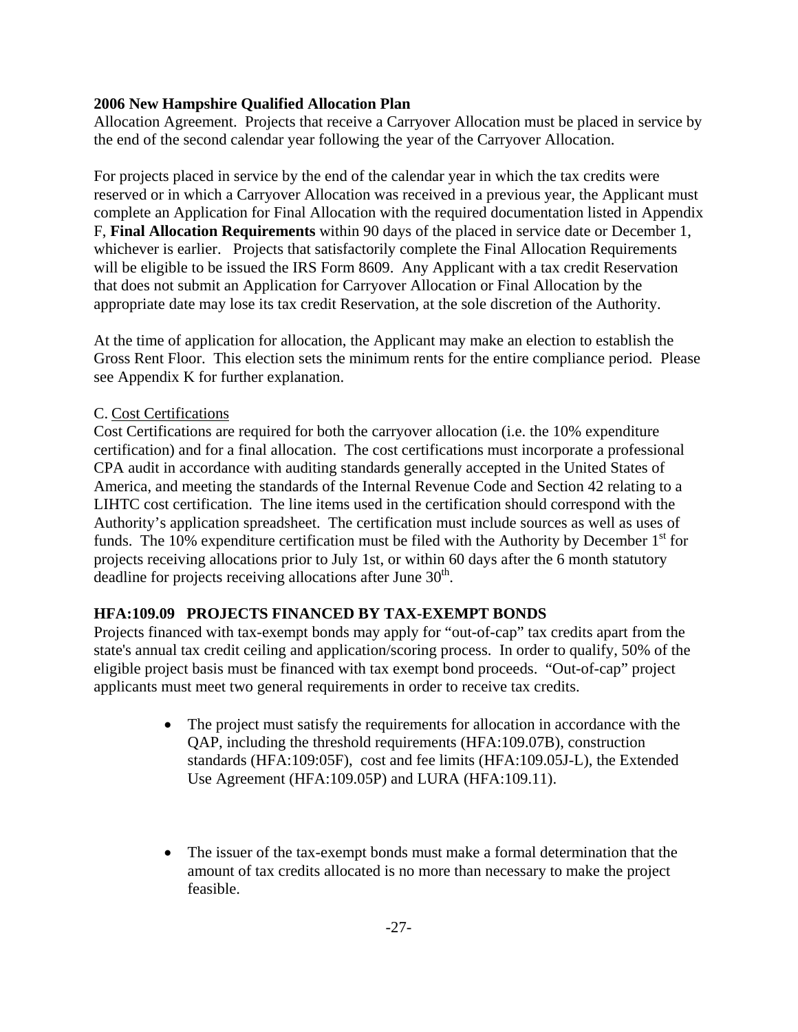Allocation Agreement. Projects that receive a Carryover Allocation must be placed in service by the end of the second calendar year following the year of the Carryover Allocation.

For projects placed in service by the end of the calendar year in which the tax credits were reserved or in which a Carryover Allocation was received in a previous year, the Applicant must complete an Application for Final Allocation with the required documentation listed in Appendix F, **Final Allocation Requirements** within 90 days of the placed in service date or December 1, whichever is earlier. Projects that satisfactorily complete the Final Allocation Requirements will be eligible to be issued the IRS Form 8609. Any Applicant with a tax credit Reservation that does not submit an Application for Carryover Allocation or Final Allocation by the appropriate date may lose its tax credit Reservation, at the sole discretion of the Authority.

At the time of application for allocation, the Applicant may make an election to establish the Gross Rent Floor. This election sets the minimum rents for the entire compliance period. Please see Appendix K for further explanation.

# C. Cost Certifications

Cost Certifications are required for both the carryover allocation (i.e. the 10% expenditure certification) and for a final allocation. The cost certifications must incorporate a professional CPA audit in accordance with auditing standards generally accepted in the United States of America, and meeting the standards of the Internal Revenue Code and Section 42 relating to a LIHTC cost certification. The line items used in the certification should correspond with the Authority's application spreadsheet. The certification must include sources as well as uses of funds. The 10% expenditure certification must be filed with the Authority by December  $1<sup>st</sup>$  for projects receiving allocations prior to July 1st, or within 60 days after the 6 month statutory deadline for projects receiving allocations after June  $30<sup>th</sup>$ .

# **HFA:109.09 PROJECTS FINANCED BY TAX-EXEMPT BONDS**

Projects financed with tax-exempt bonds may apply for "out-of-cap" tax credits apart from the state's annual tax credit ceiling and application/scoring process. In order to qualify, 50% of the eligible project basis must be financed with tax exempt bond proceeds. "Out-of-cap" project applicants must meet two general requirements in order to receive tax credits.

- The project must satisfy the requirements for allocation in accordance with the QAP, including the threshold requirements (HFA:109.07B), construction standards (HFA:109:05F), cost and fee limits (HFA:109.05J-L), the Extended Use Agreement (HFA:109.05P) and LURA (HFA:109.11).
- The issuer of the tax-exempt bonds must make a formal determination that the amount of tax credits allocated is no more than necessary to make the project feasible.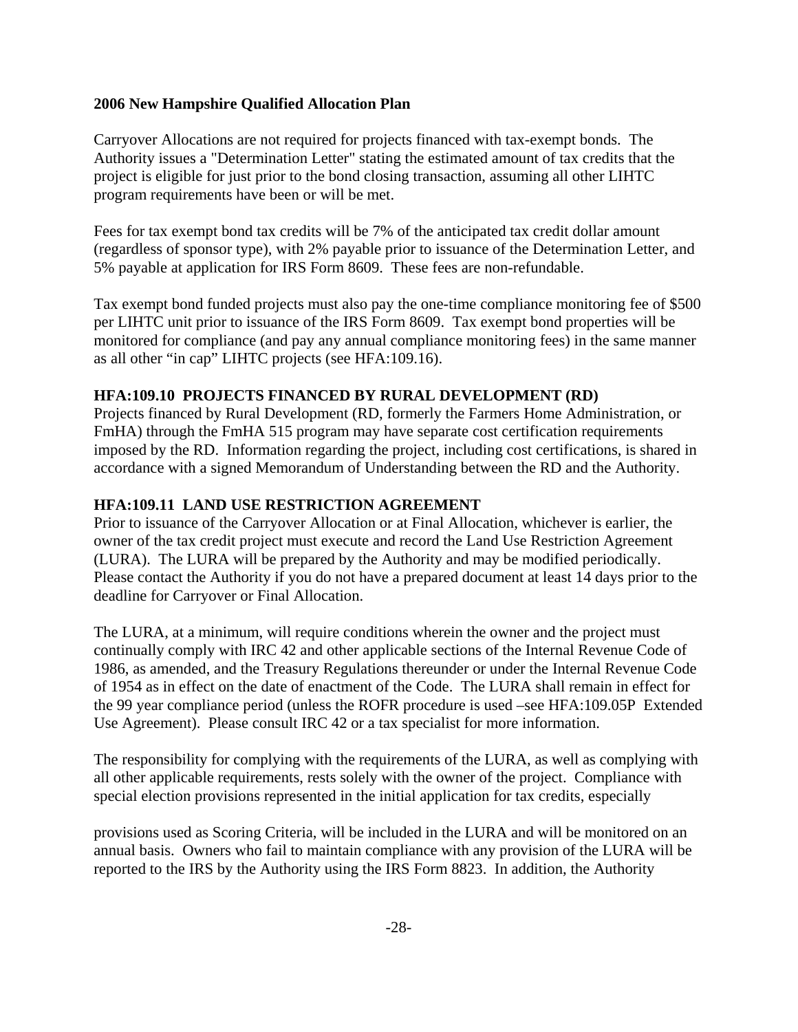Carryover Allocations are not required for projects financed with tax-exempt bonds. The Authority issues a "Determination Letter" stating the estimated amount of tax credits that the project is eligible for just prior to the bond closing transaction, assuming all other LIHTC program requirements have been or will be met.

Fees for tax exempt bond tax credits will be 7% of the anticipated tax credit dollar amount (regardless of sponsor type), with 2% payable prior to issuance of the Determination Letter, and 5% payable at application for IRS Form 8609. These fees are non-refundable.

Tax exempt bond funded projects must also pay the one-time compliance monitoring fee of \$500 per LIHTC unit prior to issuance of the IRS Form 8609. Tax exempt bond properties will be monitored for compliance (and pay any annual compliance monitoring fees) in the same manner as all other "in cap" LIHTC projects (see HFA:109.16).

### **HFA:109.10 PROJECTS FINANCED BY RURAL DEVELOPMENT (RD)**

Projects financed by Rural Development (RD, formerly the Farmers Home Administration, or FmHA) through the FmHA 515 program may have separate cost certification requirements imposed by the RD. Information regarding the project, including cost certifications, is shared in accordance with a signed Memorandum of Understanding between the RD and the Authority.

# **HFA:109.11 LAND USE RESTRICTION AGREEMENT**

Prior to issuance of the Carryover Allocation or at Final Allocation, whichever is earlier, the owner of the tax credit project must execute and record the Land Use Restriction Agreement (LURA). The LURA will be prepared by the Authority and may be modified periodically. Please contact the Authority if you do not have a prepared document at least 14 days prior to the deadline for Carryover or Final Allocation.

The LURA, at a minimum, will require conditions wherein the owner and the project must continually comply with IRC 42 and other applicable sections of the Internal Revenue Code of 1986, as amended, and the Treasury Regulations thereunder or under the Internal Revenue Code of 1954 as in effect on the date of enactment of the Code. The LURA shall remain in effect for the 99 year compliance period (unless the ROFR procedure is used –see HFA:109.05P Extended Use Agreement). Please consult IRC 42 or a tax specialist for more information.

The responsibility for complying with the requirements of the LURA, as well as complying with all other applicable requirements, rests solely with the owner of the project. Compliance with special election provisions represented in the initial application for tax credits, especially

provisions used as Scoring Criteria, will be included in the LURA and will be monitored on an annual basis. Owners who fail to maintain compliance with any provision of the LURA will be reported to the IRS by the Authority using the IRS Form 8823. In addition, the Authority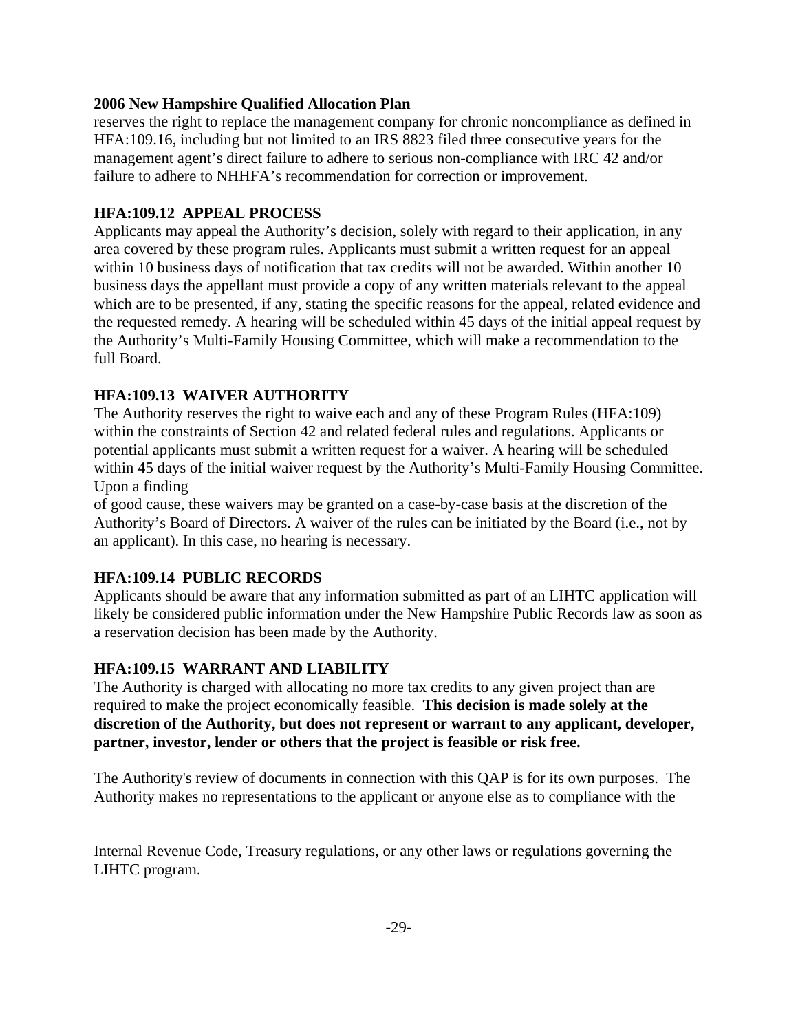reserves the right to replace the management company for chronic noncompliance as defined in HFA:109.16, including but not limited to an IRS 8823 filed three consecutive years for the management agent's direct failure to adhere to serious non-compliance with IRC 42 and/or failure to adhere to NHHFA's recommendation for correction or improvement.

### **HFA:109.12 APPEAL PROCESS**

Applicants may appeal the Authority's decision, solely with regard to their application, in any area covered by these program rules. Applicants must submit a written request for an appeal within 10 business days of notification that tax credits will not be awarded. Within another 10 business days the appellant must provide a copy of any written materials relevant to the appeal which are to be presented, if any, stating the specific reasons for the appeal, related evidence and the requested remedy. A hearing will be scheduled within 45 days of the initial appeal request by the Authority's Multi-Family Housing Committee, which will make a recommendation to the full Board.

# **HFA:109.13 WAIVER AUTHORITY**

The Authority reserves the right to waive each and any of these Program Rules (HFA:109) within the constraints of Section 42 and related federal rules and regulations. Applicants or potential applicants must submit a written request for a waiver. A hearing will be scheduled within 45 days of the initial waiver request by the Authority's Multi-Family Housing Committee. Upon a finding

of good cause, these waivers may be granted on a case-by-case basis at the discretion of the Authority's Board of Directors. A waiver of the rules can be initiated by the Board (i.e., not by an applicant). In this case, no hearing is necessary.

# **HFA:109.14 PUBLIC RECORDS**

Applicants should be aware that any information submitted as part of an LIHTC application will likely be considered public information under the New Hampshire Public Records law as soon as a reservation decision has been made by the Authority.

#### **HFA:109.15 WARRANT AND LIABILITY**

The Authority is charged with allocating no more tax credits to any given project than are required to make the project economically feasible. **This decision is made solely at the discretion of the Authority, but does not represent or warrant to any applicant, developer, partner, investor, lender or others that the project is feasible or risk free.**

The Authority's review of documents in connection with this QAP is for its own purposes. The Authority makes no representations to the applicant or anyone else as to compliance with the

Internal Revenue Code, Treasury regulations, or any other laws or regulations governing the LIHTC program.